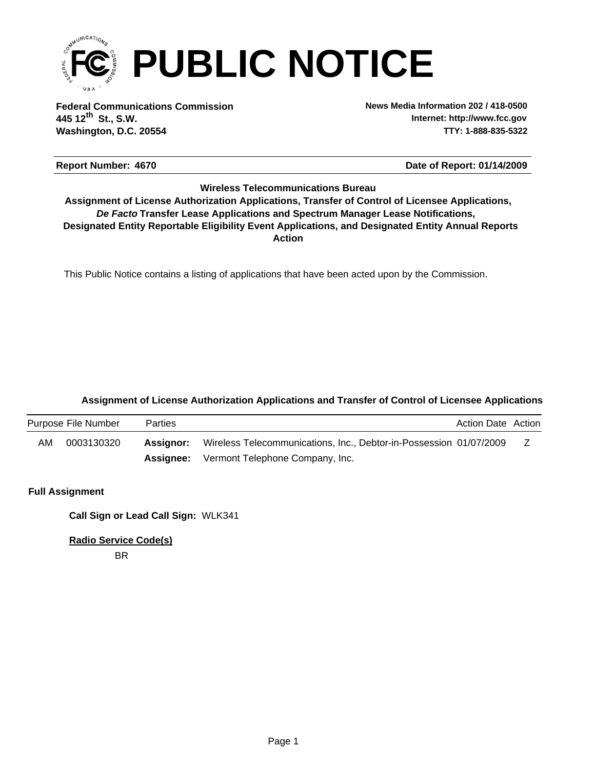

**Federal Communications Commission News Media Information 202 / 418-0500 Washington, D.C. 20554 TTY: 1-888-835-5322 445 12 St., S.W. th**

**Internet: http://www.fcc.gov**

### **Report Number: 4670 4670 12.1 <b>12.1 12.1 <b>12.1 13.1 13.1 14.1 14.1 14.1 14.1 14.1 14.1 14.1 14.1 14.1 14.1 14.1 14.1 14.1 14.1 14.1 14.1 14.1 14.1 14.1**

### **Wireless Telecommunications Bureau**

**Action** *De Facto* **Transfer Lease Applications and Spectrum Manager Lease Notifications, Designated Entity Reportable Eligibility Event Applications, and Designated Entity Annual Reports Assignment of License Authorization Applications, Transfer of Control of Licensee Applications,**

This Public Notice contains a listing of applications that have been acted upon by the Commission.

### **Assignment of License Authorization Applications and Transfer of Control of Licensee Applications**

|    | Purpose File Number | <b>Parties</b> |                                                                    | <b>Action Date Action</b> |  |
|----|---------------------|----------------|--------------------------------------------------------------------|---------------------------|--|
| AM | 0003130320          | Assianor:      | Wireless Telecommunications, Inc., Debtor-in-Possession 01/07/2009 |                           |  |
|    |                     |                | <b>Assignee:</b> Vermont Telephone Company, Inc.                   |                           |  |

### **Full Assignment**

**Call Sign or Lead Call Sign:** WLK341

**Radio Service Code(s)**

BR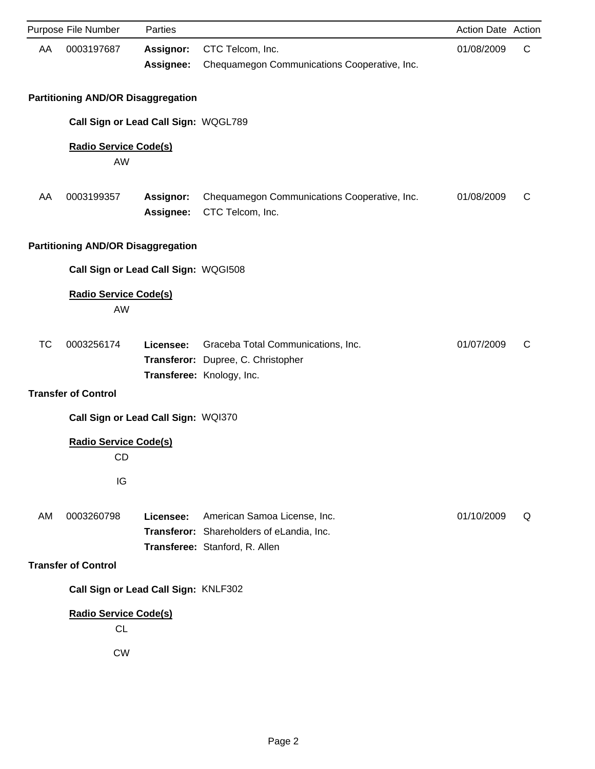|           | Purpose File Number                                    | Parties                       |                                                                                                             | Action Date Action |   |
|-----------|--------------------------------------------------------|-------------------------------|-------------------------------------------------------------------------------------------------------------|--------------------|---|
| AA        | 0003197687                                             | <b>Assignor:</b><br>Assignee: | CTC Telcom, Inc.<br>Chequamegon Communications Cooperative, Inc.                                            | 01/08/2009         | C |
|           | <b>Partitioning AND/OR Disaggregation</b>              |                               |                                                                                                             |                    |   |
|           | Call Sign or Lead Call Sign: WQGL789                   |                               |                                                                                                             |                    |   |
|           | <b>Radio Service Code(s)</b><br>AW                     |                               |                                                                                                             |                    |   |
| AA        | 0003199357                                             | <b>Assignor:</b><br>Assignee: | Chequamegon Communications Cooperative, Inc.<br>CTC Telcom, Inc.                                            | 01/08/2009         | C |
|           | <b>Partitioning AND/OR Disaggregation</b>              |                               |                                                                                                             |                    |   |
|           | Call Sign or Lead Call Sign: WQGI508                   |                               |                                                                                                             |                    |   |
|           | <b>Radio Service Code(s)</b><br>AW                     |                               |                                                                                                             |                    |   |
| <b>TC</b> | 0003256174<br><b>Transfer of Control</b>               | Licensee:                     | Graceba Total Communications, Inc.<br>Transferor: Dupree, C. Christopher<br>Transferee: Knology, Inc.       | 01/07/2009         | C |
|           | Call Sign or Lead Call Sign: WQI370                    |                               |                                                                                                             |                    |   |
|           | <b>Radio Service Code(s)</b><br><b>CD</b><br>IG        |                               |                                                                                                             |                    |   |
| AM        | 0003260798                                             | Licensee:                     | American Samoa License, Inc.<br>Transferor: Shareholders of eLandia, Inc.<br>Transferee: Stanford, R. Allen | 01/10/2009         | Q |
|           | <b>Transfer of Control</b>                             |                               |                                                                                                             |                    |   |
|           | Call Sign or Lead Call Sign: KNLF302                   |                               |                                                                                                             |                    |   |
|           | <b>Radio Service Code(s)</b><br><b>CL</b><br><b>CW</b> |                               |                                                                                                             |                    |   |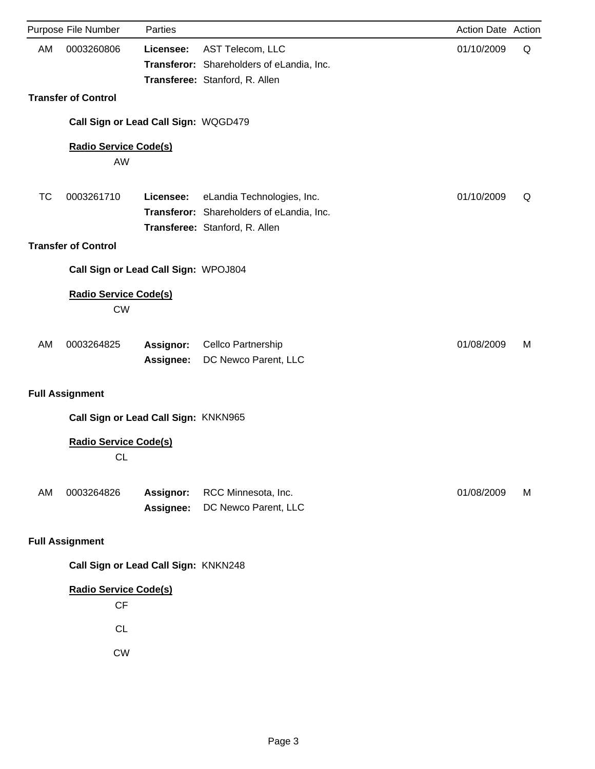|           | Purpose File Number                       | Parties                              |                                                                                                           | Action Date Action |   |
|-----------|-------------------------------------------|--------------------------------------|-----------------------------------------------------------------------------------------------------------|--------------------|---|
| <b>AM</b> | 0003260806                                | Licensee:                            | AST Telecom, LLC<br>Transferor: Shareholders of eLandia, Inc.<br>Transferee: Stanford, R. Allen           | 01/10/2009         | Q |
|           | <b>Transfer of Control</b>                |                                      |                                                                                                           |                    |   |
|           |                                           | Call Sign or Lead Call Sign: WQGD479 |                                                                                                           |                    |   |
|           | <b>Radio Service Code(s)</b><br>AW        |                                      |                                                                                                           |                    |   |
| <b>TC</b> | 0003261710                                | Licensee:                            | eLandia Technologies, Inc.<br>Transferor: Shareholders of eLandia, Inc.<br>Transferee: Stanford, R. Allen | 01/10/2009         | Q |
|           | <b>Transfer of Control</b>                |                                      |                                                                                                           |                    |   |
|           |                                           | Call Sign or Lead Call Sign: WPOJ804 |                                                                                                           |                    |   |
|           | <b>Radio Service Code(s)</b><br><b>CW</b> |                                      |                                                                                                           |                    |   |
| AM        | 0003264825                                | Assignor:<br>Assignee:               | Cellco Partnership<br>DC Newco Parent, LLC                                                                | 01/08/2009         | M |
|           | <b>Full Assignment</b>                    |                                      |                                                                                                           |                    |   |
|           |                                           | Call Sign or Lead Call Sign: KNKN965 |                                                                                                           |                    |   |
|           | <b>Radio Service Code(s)</b><br><b>CL</b> |                                      |                                                                                                           |                    |   |
| AM        | 0003264826                                | <b>Assignor:</b><br>Assignee:        | RCC Minnesota, Inc.<br>DC Newco Parent, LLC                                                               | 01/08/2009         | M |
|           | <b>Full Assignment</b>                    |                                      |                                                                                                           |                    |   |
|           |                                           | Call Sign or Lead Call Sign: KNKN248 |                                                                                                           |                    |   |
|           | <b>Radio Service Code(s)</b><br>CF        |                                      |                                                                                                           |                    |   |
|           | <b>CL</b>                                 |                                      |                                                                                                           |                    |   |
|           | <b>CW</b>                                 |                                      |                                                                                                           |                    |   |
|           |                                           |                                      |                                                                                                           |                    |   |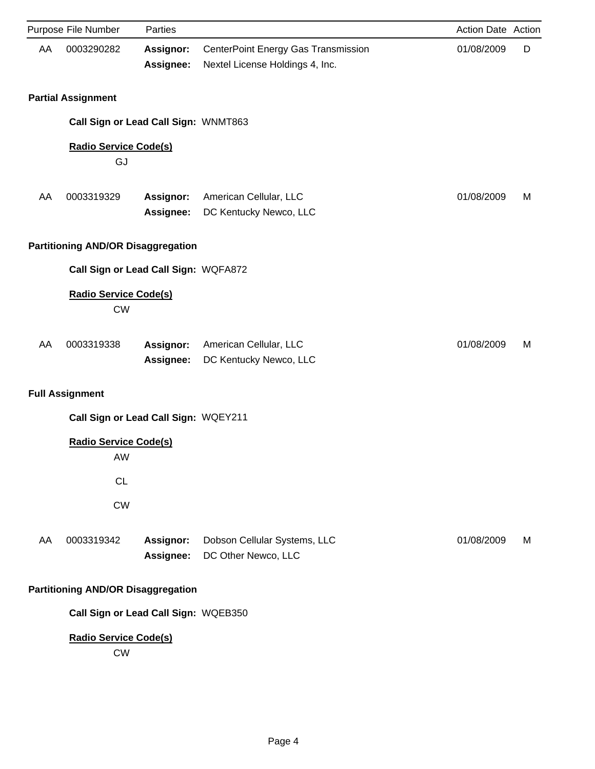|    | Purpose File Number                       | Parties                |                                                                        | Action Date Action |   |
|----|-------------------------------------------|------------------------|------------------------------------------------------------------------|--------------------|---|
| AA | 0003290282                                | Assignor:<br>Assignee: | CenterPoint Energy Gas Transmission<br>Nextel License Holdings 4, Inc. | 01/08/2009         | D |
|    | <b>Partial Assignment</b>                 |                        |                                                                        |                    |   |
|    | Call Sign or Lead Call Sign: WNMT863      |                        |                                                                        |                    |   |
|    | <b>Radio Service Code(s)</b><br>GJ        |                        |                                                                        |                    |   |
| AA | 0003319329                                | Assignor:<br>Assignee: | American Cellular, LLC<br>DC Kentucky Newco, LLC                       | 01/08/2009         | M |
|    | <b>Partitioning AND/OR Disaggregation</b> |                        |                                                                        |                    |   |
|    | Call Sign or Lead Call Sign: WQFA872      |                        |                                                                        |                    |   |
|    | <b>Radio Service Code(s)</b><br><b>CW</b> |                        |                                                                        |                    |   |
| AA | 0003319338                                | Assignor:<br>Assignee: | American Cellular, LLC<br>DC Kentucky Newco, LLC                       | 01/08/2009         | M |
|    | <b>Full Assignment</b>                    |                        |                                                                        |                    |   |
|    | Call Sign or Lead Call Sign: WQEY211      |                        |                                                                        |                    |   |
|    | <b>Radio Service Code(s)</b><br>AW        |                        |                                                                        |                    |   |
|    | CL                                        |                        |                                                                        |                    |   |
|    | <b>CW</b>                                 |                        |                                                                        |                    |   |
| AA | 0003319342                                | Assignor:<br>Assignee: | Dobson Cellular Systems, LLC<br>DC Other Newco, LLC                    | 01/08/2009         | М |
|    | <b>Partitioning AND/OR Disaggregation</b> |                        |                                                                        |                    |   |
|    | Call Sign or Lead Call Sign: WQEB350      |                        |                                                                        |                    |   |
|    | <b>Radio Service Code(s)</b>              |                        |                                                                        |                    |   |

CW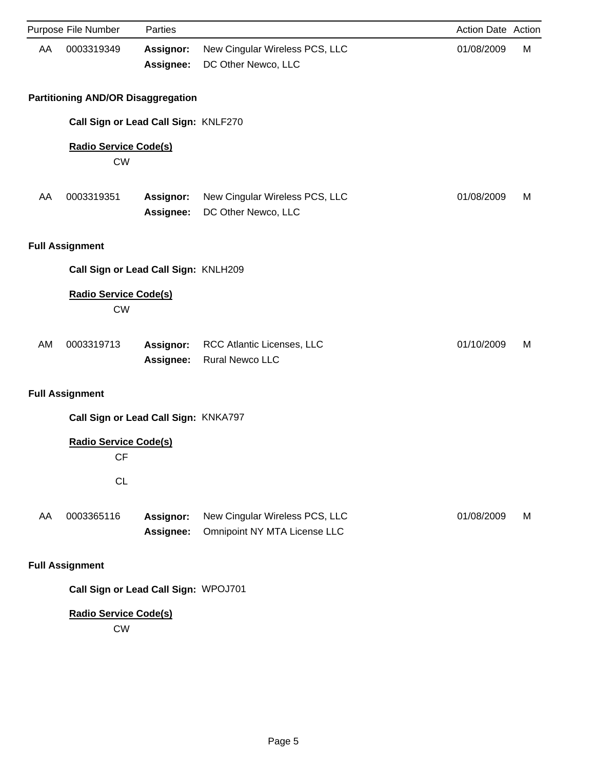|    | Purpose File Number                       | Parties                       |                                                                | Action Date Action |   |
|----|-------------------------------------------|-------------------------------|----------------------------------------------------------------|--------------------|---|
| AA | 0003319349                                | <b>Assignor:</b><br>Assignee: | New Cingular Wireless PCS, LLC<br>DC Other Newco, LLC          | 01/08/2009         | M |
|    | <b>Partitioning AND/OR Disaggregation</b> |                               |                                                                |                    |   |
|    | Call Sign or Lead Call Sign: KNLF270      |                               |                                                                |                    |   |
|    | <b>Radio Service Code(s)</b><br><b>CW</b> |                               |                                                                |                    |   |
| AA | 0003319351                                | Assignor:<br>Assignee:        | New Cingular Wireless PCS, LLC<br>DC Other Newco, LLC          | 01/08/2009         | M |
|    | <b>Full Assignment</b>                    |                               |                                                                |                    |   |
|    | Call Sign or Lead Call Sign: KNLH209      |                               |                                                                |                    |   |
|    | <b>Radio Service Code(s)</b><br><b>CW</b> |                               |                                                                |                    |   |
| AM | 0003319713                                | <b>Assignor:</b><br>Assignee: | RCC Atlantic Licenses, LLC<br>Rural Newco LLC                  | 01/10/2009         | М |
|    | <b>Full Assignment</b>                    |                               |                                                                |                    |   |
|    | Call Sign or Lead Call Sign: KNKA797      |                               |                                                                |                    |   |
|    | <b>Radio Service Code(s)</b><br>CF        |                               |                                                                |                    |   |
|    | <b>CL</b>                                 |                               |                                                                |                    |   |
| AA | 0003365116                                | Assignor:<br>Assignee:        | New Cingular Wireless PCS, LLC<br>Omnipoint NY MTA License LLC | 01/08/2009         | М |
|    | <b>Full Assignment</b>                    |                               |                                                                |                    |   |
|    | Call Sign or Lead Call Sign: WPOJ701      |                               |                                                                |                    |   |
|    | <b>Radio Service Code(s)</b><br><b>CW</b> |                               |                                                                |                    |   |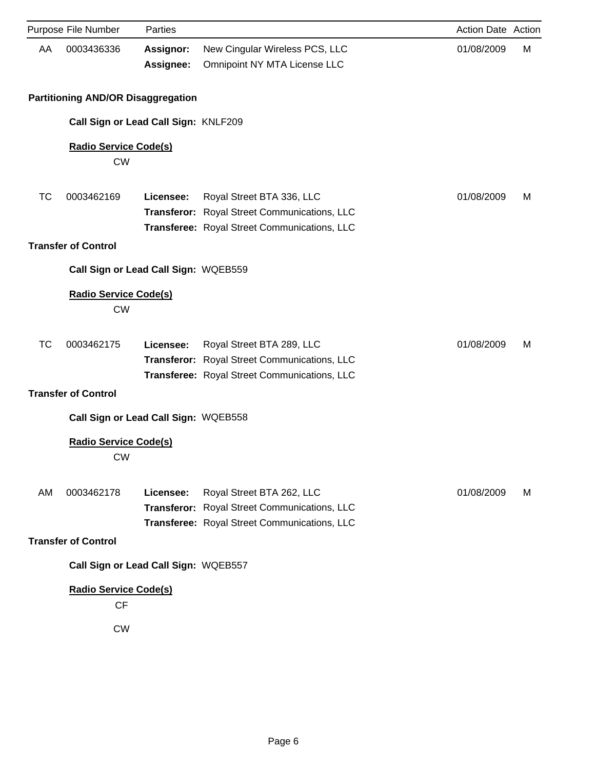|    | Purpose File Number                       | Parties                       |                                                                                                                           | Action Date Action |   |
|----|-------------------------------------------|-------------------------------|---------------------------------------------------------------------------------------------------------------------------|--------------------|---|
| AA | 0003436336                                | <b>Assignor:</b><br>Assignee: | New Cingular Wireless PCS, LLC<br>Omnipoint NY MTA License LLC                                                            | 01/08/2009         | М |
|    | <b>Partitioning AND/OR Disaggregation</b> |                               |                                                                                                                           |                    |   |
|    | Call Sign or Lead Call Sign: KNLF209      |                               |                                                                                                                           |                    |   |
|    | <b>Radio Service Code(s)</b><br><b>CW</b> |                               |                                                                                                                           |                    |   |
| ТC | 0003462169                                | Licensee:                     | Royal Street BTA 336, LLC<br>Transferor: Royal Street Communications, LLC<br>Transferee: Royal Street Communications, LLC | 01/08/2009         | M |
|    | <b>Transfer of Control</b>                |                               |                                                                                                                           |                    |   |
|    | Call Sign or Lead Call Sign: WQEB559      |                               |                                                                                                                           |                    |   |
|    | <b>Radio Service Code(s)</b><br><b>CW</b> |                               |                                                                                                                           |                    |   |
| ТC | 0003462175                                | Licensee:                     | Royal Street BTA 289, LLC<br>Transferor: Royal Street Communications, LLC<br>Transferee: Royal Street Communications, LLC | 01/08/2009         | M |
|    | <b>Transfer of Control</b>                |                               |                                                                                                                           |                    |   |
|    | Call Sign or Lead Call Sign: WQEB558      |                               |                                                                                                                           |                    |   |
|    | <b>Radio Service Code(s)</b><br><b>CW</b> |                               |                                                                                                                           |                    |   |
| AM | 0003462178                                | Licensee:                     | Royal Street BTA 262, LLC<br>Transferor: Royal Street Communications, LLC<br>Transferee: Royal Street Communications, LLC | 01/08/2009         | M |
|    | <b>Transfer of Control</b>                |                               |                                                                                                                           |                    |   |
|    | Call Sign or Lead Call Sign: WQEB557      |                               |                                                                                                                           |                    |   |
|    | <b>Radio Service Code(s)</b><br><b>CF</b> |                               |                                                                                                                           |                    |   |
|    | <b>CW</b>                                 |                               |                                                                                                                           |                    |   |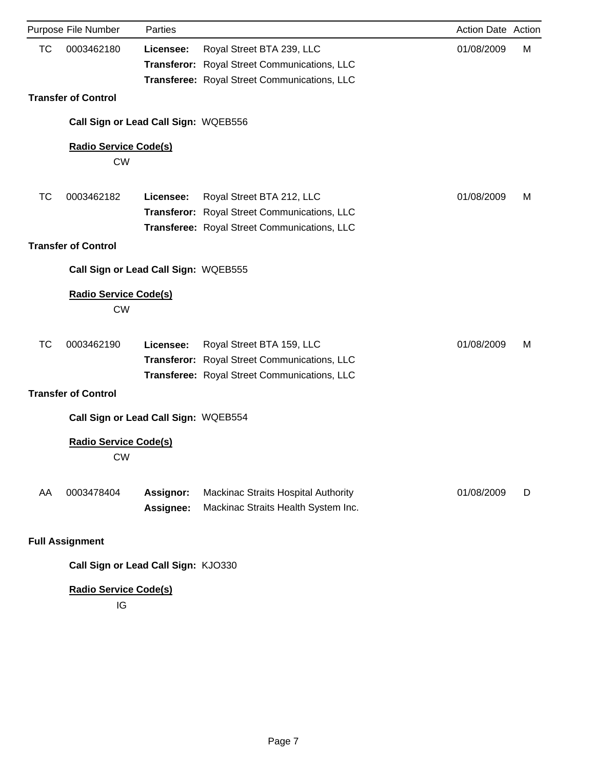|           | Purpose File Number                       | Parties          |                                              | Action Date Action |   |
|-----------|-------------------------------------------|------------------|----------------------------------------------|--------------------|---|
| <b>TC</b> | 0003462180                                | Licensee:        | Royal Street BTA 239, LLC                    | 01/08/2009         | М |
|           |                                           |                  | Transferor: Royal Street Communications, LLC |                    |   |
|           |                                           |                  | Transferee: Royal Street Communications, LLC |                    |   |
|           | <b>Transfer of Control</b>                |                  |                                              |                    |   |
|           | Call Sign or Lead Call Sign: WQEB556      |                  |                                              |                    |   |
|           | <b>Radio Service Code(s)</b><br><b>CW</b> |                  |                                              |                    |   |
| TC        | 0003462182                                | Licensee:        | Royal Street BTA 212, LLC                    | 01/08/2009         | м |
|           |                                           |                  | Transferor: Royal Street Communications, LLC |                    |   |
|           |                                           |                  | Transferee: Royal Street Communications, LLC |                    |   |
|           | <b>Transfer of Control</b>                |                  |                                              |                    |   |
|           | Call Sign or Lead Call Sign: WQEB555      |                  |                                              |                    |   |
|           | <b>Radio Service Code(s)</b><br><b>CW</b> |                  |                                              |                    |   |
| TC        | 0003462190                                | Licensee:        | Royal Street BTA 159, LLC                    | 01/08/2009         | м |
|           |                                           |                  | Transferor: Royal Street Communications, LLC |                    |   |
|           |                                           |                  | Transferee: Royal Street Communications, LLC |                    |   |
|           | <b>Transfer of Control</b>                |                  |                                              |                    |   |
|           | Call Sign or Lead Call Sign: WQEB554      |                  |                                              |                    |   |
|           | <b>Radio Service Code(s)</b><br><b>CW</b> |                  |                                              |                    |   |
| AA        | 0003478404                                | <b>Assignor:</b> | Mackinac Straits Hospital Authority          | 01/08/2009         | D |
|           |                                           | Assignee:        | Mackinac Straits Health System Inc.          |                    |   |
|           | <b>Full Assignment</b>                    |                  |                                              |                    |   |

**Call Sign or Lead Call Sign:** KJO330

# **Radio Service Code(s)**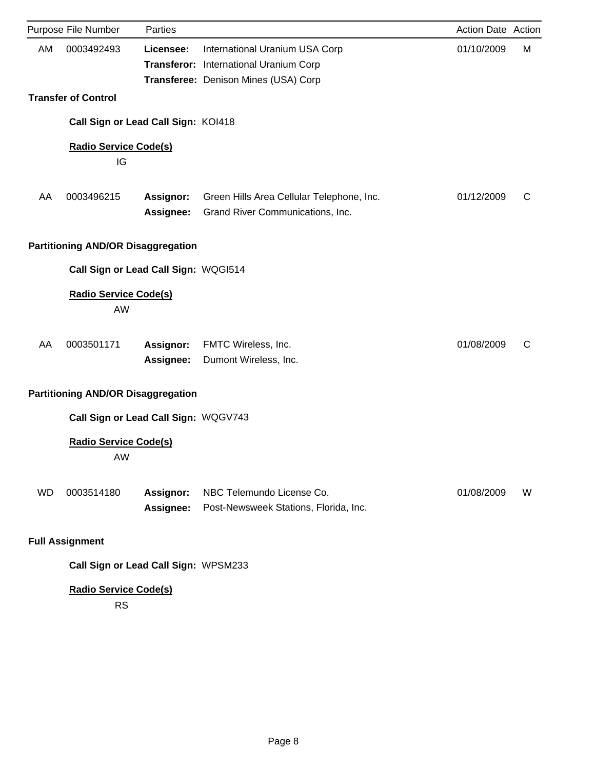|           | Purpose File Number                       | Parties                |                                                                               | Action Date Action |   |
|-----------|-------------------------------------------|------------------------|-------------------------------------------------------------------------------|--------------------|---|
| AM        | 0003492493                                | Licensee:              | International Uranium USA Corp                                                | 01/10/2009         | М |
|           |                                           |                        | Transferor: International Uranium Corp                                        |                    |   |
|           |                                           |                        | Transferee: Denison Mines (USA) Corp                                          |                    |   |
|           | <b>Transfer of Control</b>                |                        |                                                                               |                    |   |
|           | Call Sign or Lead Call Sign: KOI418       |                        |                                                                               |                    |   |
|           | <b>Radio Service Code(s)</b><br>IG        |                        |                                                                               |                    |   |
| AA        | 0003496215                                | Assignor:<br>Assignee: | Green Hills Area Cellular Telephone, Inc.<br>Grand River Communications, Inc. | 01/12/2009         | C |
|           | <b>Partitioning AND/OR Disaggregation</b> |                        |                                                                               |                    |   |
|           | Call Sign or Lead Call Sign: WQGI514      |                        |                                                                               |                    |   |
|           | <b>Radio Service Code(s)</b>              |                        |                                                                               |                    |   |
|           | AW                                        |                        |                                                                               |                    |   |
| AA        | 0003501171                                | Assignor:              | FMTC Wireless, Inc.                                                           | 01/08/2009         | C |
|           |                                           | Assignee:              | Dumont Wireless, Inc.                                                         |                    |   |
|           |                                           |                        |                                                                               |                    |   |
|           | <b>Partitioning AND/OR Disaggregation</b> |                        |                                                                               |                    |   |
|           | Call Sign or Lead Call Sign: WQGV743      |                        |                                                                               |                    |   |
|           | <b>Radio Service Code(s)</b><br>AW        |                        |                                                                               |                    |   |
| <b>WD</b> | 0003514180                                | Assignor:<br>Assignee: | NBC Telemundo License Co.<br>Post-Newsweek Stations, Florida, Inc.            | 01/08/2009         | W |
|           | <b>Full Assignment</b>                    |                        |                                                                               |                    |   |

**Call Sign or Lead Call Sign:** WPSM233

# **Radio Service Code(s)**

RS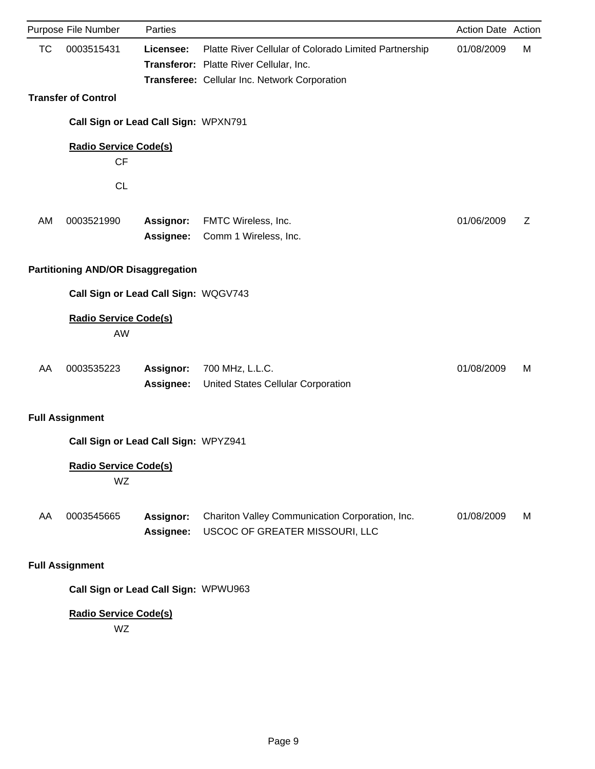|           | Purpose File Number                       | <b>Parties</b>                |                                                                                                                                                   | Action Date Action |   |
|-----------|-------------------------------------------|-------------------------------|---------------------------------------------------------------------------------------------------------------------------------------------------|--------------------|---|
| <b>TC</b> | 0003515431                                | Licensee:                     | Platte River Cellular of Colorado Limited Partnership<br>Transferor: Platte River Cellular, Inc.<br>Transferee: Cellular Inc. Network Corporation | 01/08/2009         | М |
|           | <b>Transfer of Control</b>                |                               |                                                                                                                                                   |                    |   |
|           | Call Sign or Lead Call Sign: WPXN791      |                               |                                                                                                                                                   |                    |   |
|           | <b>Radio Service Code(s)</b><br>CF        |                               |                                                                                                                                                   |                    |   |
|           | <b>CL</b>                                 |                               |                                                                                                                                                   |                    |   |
| AM        | 0003521990                                | Assignor:<br>Assignee:        | FMTC Wireless, Inc.<br>Comm 1 Wireless, Inc.                                                                                                      | 01/06/2009         | Ζ |
|           | <b>Partitioning AND/OR Disaggregation</b> |                               |                                                                                                                                                   |                    |   |
|           | Call Sign or Lead Call Sign: WQGV743      |                               |                                                                                                                                                   |                    |   |
|           | <b>Radio Service Code(s)</b><br>AW        |                               |                                                                                                                                                   |                    |   |
| AA        | 0003535223                                | Assignor:<br>Assignee:        | 700 MHz, L.L.C.<br>United States Cellular Corporation                                                                                             | 01/08/2009         | м |
|           | <b>Full Assignment</b>                    |                               |                                                                                                                                                   |                    |   |
|           | Call Sign or Lead Call Sign: WPYZ941      |                               |                                                                                                                                                   |                    |   |
|           | <b>Radio Service Code(s)</b><br>WZ        |                               |                                                                                                                                                   |                    |   |
| AA        | 0003545665                                | <b>Assignor:</b><br>Assignee: | Chariton Valley Communication Corporation, Inc.<br>USCOC OF GREATER MISSOURI, LLC                                                                 | 01/08/2009         | м |
|           | <b>Full Assignment</b>                    |                               |                                                                                                                                                   |                    |   |
|           | Call Sign or Lead Call Sign: WPWU963      |                               |                                                                                                                                                   |                    |   |
|           | <b>Radio Service Code(s)</b><br>WZ        |                               |                                                                                                                                                   |                    |   |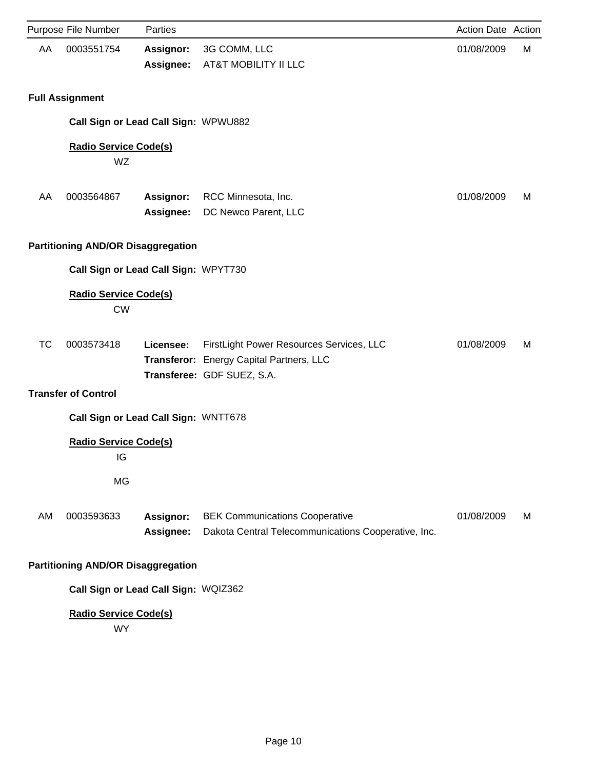|    | Purpose File Number                       | Parties                       |                                                                                                                    | Action Date Action |   |
|----|-------------------------------------------|-------------------------------|--------------------------------------------------------------------------------------------------------------------|--------------------|---|
| AA | 0003551754                                | <b>Assignor:</b><br>Assignee: | 3G COMM, LLC<br>AT&T MOBILITY II LLC                                                                               | 01/08/2009         | М |
|    | <b>Full Assignment</b>                    |                               |                                                                                                                    |                    |   |
|    | Call Sign or Lead Call Sign: WPWU882      |                               |                                                                                                                    |                    |   |
|    | <b>Radio Service Code(s)</b><br>WZ        |                               |                                                                                                                    |                    |   |
| AA | 0003564867                                | <b>Assignor:</b><br>Assignee: | RCC Minnesota, Inc.<br>DC Newco Parent, LLC                                                                        | 01/08/2009         | M |
|    | <b>Partitioning AND/OR Disaggregation</b> |                               |                                                                                                                    |                    |   |
|    | Call Sign or Lead Call Sign: WPYT730      |                               |                                                                                                                    |                    |   |
|    | <b>Radio Service Code(s)</b><br><b>CW</b> |                               |                                                                                                                    |                    |   |
| TC | 0003573418                                | Licensee:                     | FirstLight Power Resources Services, LLC<br>Transferor: Energy Capital Partners, LLC<br>Transferee: GDF SUEZ, S.A. | 01/08/2009         | м |
|    | <b>Transfer of Control</b>                |                               |                                                                                                                    |                    |   |
|    | Call Sign or Lead Call Sign: WNTT678      |                               |                                                                                                                    |                    |   |
|    | <b>Radio Service Code(s)</b><br>IG        |                               |                                                                                                                    |                    |   |
|    | MG                                        |                               |                                                                                                                    |                    |   |
| AM | 0003593633                                | Assignor:<br>Assignee:        | <b>BEK Communications Cooperative</b><br>Dakota Central Telecommunications Cooperative, Inc.                       | 01/08/2009         | M |
|    | <b>Partitioning AND/OR Disaggregation</b> |                               |                                                                                                                    |                    |   |
|    | Call Sign or Lead Call Sign: WQIZ362      |                               |                                                                                                                    |                    |   |
|    | <b>Radio Service Code(s)</b><br><b>WY</b> |                               |                                                                                                                    |                    |   |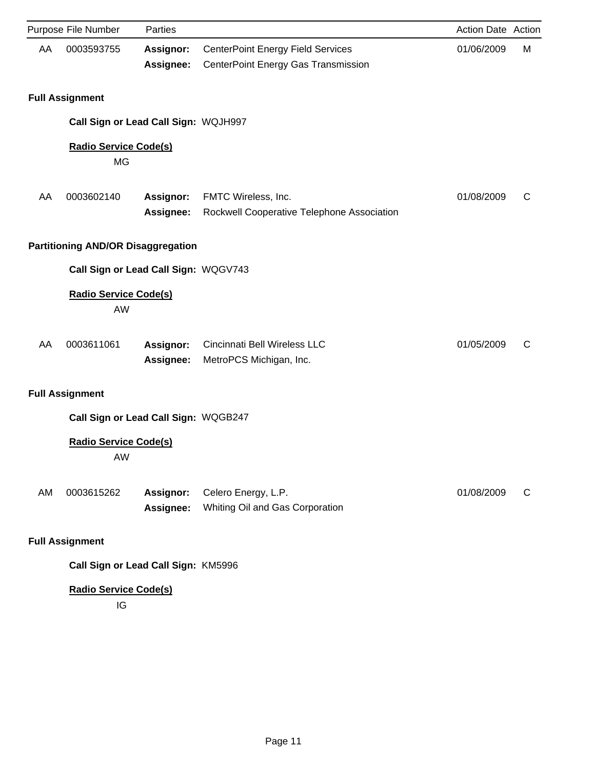|    | Purpose File Number                       | Parties                       |                                                                                 | Action Date Action |   |
|----|-------------------------------------------|-------------------------------|---------------------------------------------------------------------------------|--------------------|---|
| AA | 0003593755                                | Assignor:<br>Assignee:        | <b>CenterPoint Energy Field Services</b><br>CenterPoint Energy Gas Transmission | 01/06/2009         | М |
|    | <b>Full Assignment</b>                    |                               |                                                                                 |                    |   |
|    | Call Sign or Lead Call Sign: WQJH997      |                               |                                                                                 |                    |   |
|    | <b>Radio Service Code(s)</b><br>MG        |                               |                                                                                 |                    |   |
| AA | 0003602140                                | <b>Assignor:</b><br>Assignee: | FMTC Wireless, Inc.<br>Rockwell Cooperative Telephone Association               | 01/08/2009         | C |
|    | <b>Partitioning AND/OR Disaggregation</b> |                               |                                                                                 |                    |   |
|    | Call Sign or Lead Call Sign: WQGV743      |                               |                                                                                 |                    |   |
|    | <b>Radio Service Code(s)</b><br>AW        |                               |                                                                                 |                    |   |
| AA | 0003611061                                | Assignor:<br>Assignee:        | Cincinnati Bell Wireless LLC<br>MetroPCS Michigan, Inc.                         | 01/05/2009         | C |
|    | <b>Full Assignment</b>                    |                               |                                                                                 |                    |   |
|    | Call Sign or Lead Call Sign: WQGB247      |                               |                                                                                 |                    |   |
|    | <b>Radio Service Code(s)</b><br>AW        |                               |                                                                                 |                    |   |
| AM | 0003615262                                | Assignor:<br>Assignee:        | Celero Energy, L.P.<br>Whiting Oil and Gas Corporation                          | 01/08/2009         | C |
|    | <b>Full Assignment</b>                    |                               |                                                                                 |                    |   |
|    | Call Sign or Lead Call Sign: KM5996       |                               |                                                                                 |                    |   |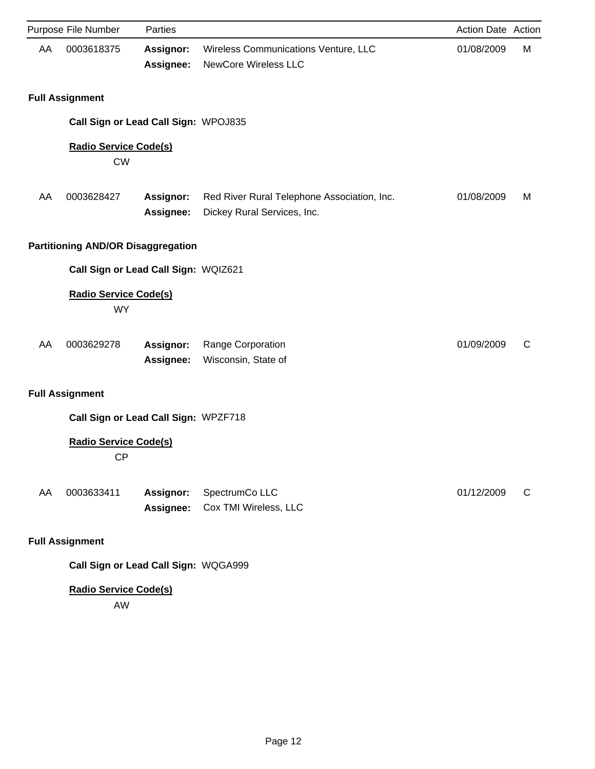|    | Purpose File Number                       | Parties                       |                                                                            | Action Date Action |   |
|----|-------------------------------------------|-------------------------------|----------------------------------------------------------------------------|--------------------|---|
| AA | 0003618375                                | <b>Assignor:</b><br>Assignee: | Wireless Communications Venture, LLC<br><b>NewCore Wireless LLC</b>        | 01/08/2009         | M |
|    | <b>Full Assignment</b>                    |                               |                                                                            |                    |   |
|    | Call Sign or Lead Call Sign: WPOJ835      |                               |                                                                            |                    |   |
|    | <b>Radio Service Code(s)</b><br><b>CW</b> |                               |                                                                            |                    |   |
| AA | 0003628427                                | <b>Assignor:</b><br>Assignee: | Red River Rural Telephone Association, Inc.<br>Dickey Rural Services, Inc. | 01/08/2009         | M |
|    | <b>Partitioning AND/OR Disaggregation</b> |                               |                                                                            |                    |   |
|    | Call Sign or Lead Call Sign: WQIZ621      |                               |                                                                            |                    |   |
|    | <b>Radio Service Code(s)</b><br><b>WY</b> |                               |                                                                            |                    |   |
| AA | 0003629278                                | Assignor:<br>Assignee:        | Range Corporation<br>Wisconsin, State of                                   | 01/09/2009         | C |
|    | <b>Full Assignment</b>                    |                               |                                                                            |                    |   |
|    | Call Sign or Lead Call Sign: WPZF718      |                               |                                                                            |                    |   |
|    | <b>Radio Service Code(s)</b><br><b>CP</b> |                               |                                                                            |                    |   |
| AA | 0003633411                                | Assignor:<br>Assignee:        | SpectrumCo LLC<br>Cox TMI Wireless, LLC                                    | 01/12/2009         | C |
|    | <b>Full Assignment</b>                    |                               |                                                                            |                    |   |
|    |                                           |                               |                                                                            |                    |   |

**Call Sign or Lead Call Sign:** WQGA999

# **Radio Service Code(s)**

AW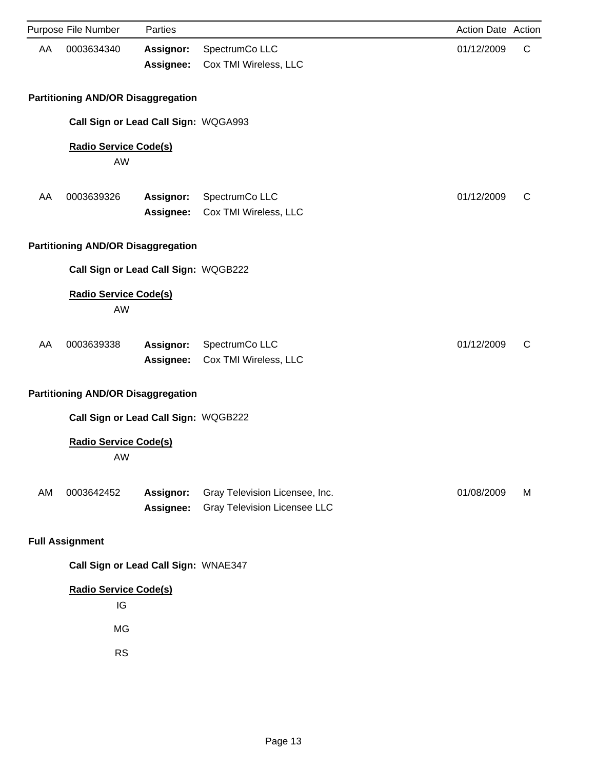|    | Purpose File Number                       | Parties                              |                                                                       | Action Date Action |   |
|----|-------------------------------------------|--------------------------------------|-----------------------------------------------------------------------|--------------------|---|
| AA | 0003634340                                | Assignor:<br>Assignee:               | SpectrumCo LLC<br>Cox TMI Wireless, LLC                               | 01/12/2009         | C |
|    | <b>Partitioning AND/OR Disaggregation</b> |                                      |                                                                       |                    |   |
|    |                                           | Call Sign or Lead Call Sign: WQGA993 |                                                                       |                    |   |
|    | <b>Radio Service Code(s)</b><br>AW        |                                      |                                                                       |                    |   |
| AA | 0003639326                                | Assignor:<br>Assignee:               | SpectrumCo LLC<br>Cox TMI Wireless, LLC                               | 01/12/2009         | C |
|    | <b>Partitioning AND/OR Disaggregation</b> |                                      |                                                                       |                    |   |
|    |                                           | Call Sign or Lead Call Sign: WQGB222 |                                                                       |                    |   |
|    | <b>Radio Service Code(s)</b><br>AW        |                                      |                                                                       |                    |   |
| AA | 0003639338                                | <b>Assignor:</b><br>Assignee:        | SpectrumCo LLC<br>Cox TMI Wireless, LLC                               | 01/12/2009         | C |
|    | <b>Partitioning AND/OR Disaggregation</b> |                                      |                                                                       |                    |   |
|    |                                           | Call Sign or Lead Call Sign: WQGB222 |                                                                       |                    |   |
|    | <b>Radio Service Code(s)</b><br>AW        |                                      |                                                                       |                    |   |
| AM | 0003642452                                | Assignor:<br>Assignee:               | Gray Television Licensee, Inc.<br><b>Gray Television Licensee LLC</b> | 01/08/2009         | M |
|    | <b>Full Assignment</b>                    |                                      |                                                                       |                    |   |
|    |                                           | Call Sign or Lead Call Sign: WNAE347 |                                                                       |                    |   |
|    | <b>Radio Service Code(s)</b><br>IG        |                                      |                                                                       |                    |   |
|    | MG                                        |                                      |                                                                       |                    |   |
|    | <b>RS</b>                                 |                                      |                                                                       |                    |   |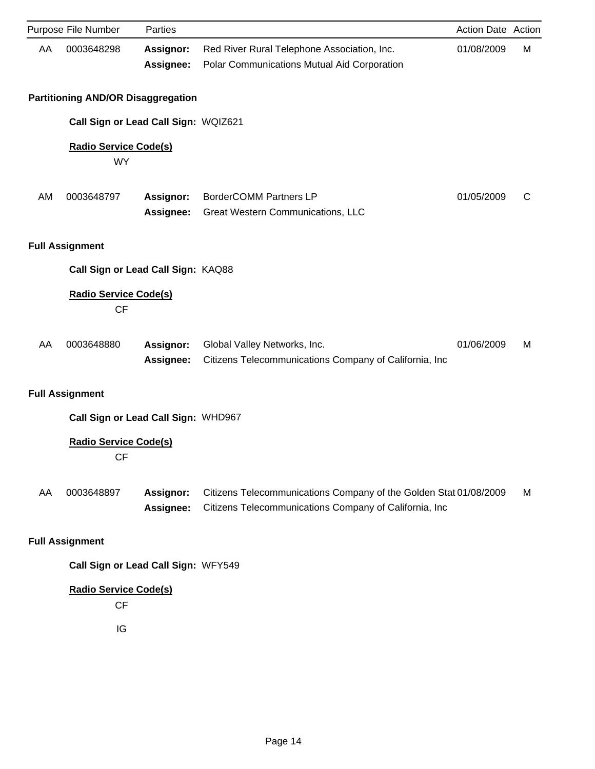|    | Purpose File Number                       | Parties                |                                                                                                                             | <b>Action Date Action</b> |   |
|----|-------------------------------------------|------------------------|-----------------------------------------------------------------------------------------------------------------------------|---------------------------|---|
| AA | 0003648298                                | Assignor:<br>Assignee: | Red River Rural Telephone Association, Inc.<br>Polar Communications Mutual Aid Corporation                                  | 01/08/2009                | М |
|    | <b>Partitioning AND/OR Disaggregation</b> |                        |                                                                                                                             |                           |   |
|    | Call Sign or Lead Call Sign: WQIZ621      |                        |                                                                                                                             |                           |   |
|    | <b>Radio Service Code(s)</b><br><b>WY</b> |                        |                                                                                                                             |                           |   |
| AM | 0003648797                                | Assignor:<br>Assignee: | <b>BorderCOMM Partners LP</b><br><b>Great Western Communications, LLC</b>                                                   | 01/05/2009                | C |
|    | <b>Full Assignment</b>                    |                        |                                                                                                                             |                           |   |
|    | Call Sign or Lead Call Sign: KAQ88        |                        |                                                                                                                             |                           |   |
|    | <b>Radio Service Code(s)</b><br><b>CF</b> |                        |                                                                                                                             |                           |   |
| AA | 0003648880                                | Assignor:<br>Assignee: | Global Valley Networks, Inc.<br>Citizens Telecommunications Company of California, Inc                                      | 01/06/2009                | M |
|    | <b>Full Assignment</b>                    |                        |                                                                                                                             |                           |   |
|    | Call Sign or Lead Call Sign: WHD967       |                        |                                                                                                                             |                           |   |
|    | <b>Radio Service Code(s)</b><br><b>CF</b> |                        |                                                                                                                             |                           |   |
| AA | 0003648897                                | Assignor:<br>Assignee: | Citizens Telecommunications Company of the Golden Stat 01/08/2009<br>Citizens Telecommunications Company of California, Inc |                           | M |
|    | <b>Full Assignment</b>                    |                        |                                                                                                                             |                           |   |
|    | Call Sign or Lead Call Sign: WFY549       |                        |                                                                                                                             |                           |   |
|    | <b>Radio Service Code(s)</b><br><b>CF</b> |                        |                                                                                                                             |                           |   |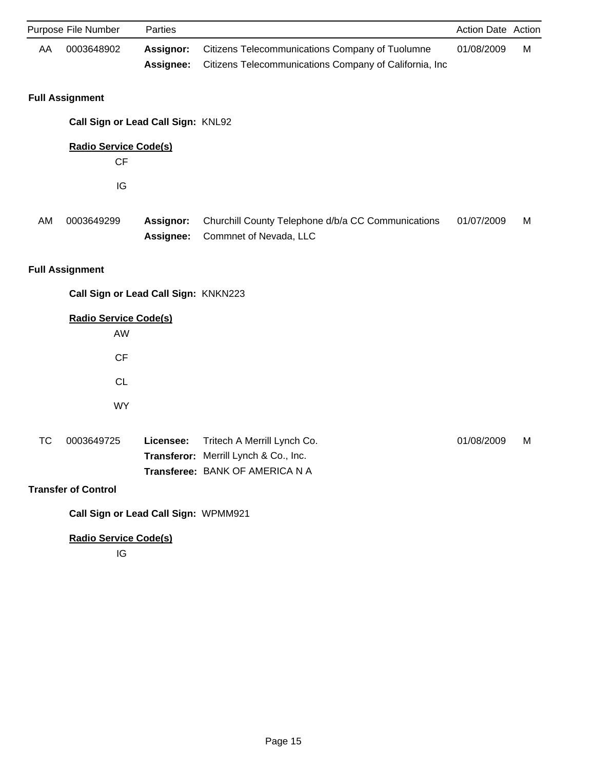|    | Purpose File Number                       | Parties                |                                                                                                           | Action Date Action |   |
|----|-------------------------------------------|------------------------|-----------------------------------------------------------------------------------------------------------|--------------------|---|
| AA | 0003648902                                | Assignor:<br>Assignee: | Citizens Telecommunications Company of Tuolumne<br>Citizens Telecommunications Company of California, Inc | 01/08/2009         | M |
|    | <b>Full Assignment</b>                    |                        |                                                                                                           |                    |   |
|    | Call Sign or Lead Call Sign: KNL92        |                        |                                                                                                           |                    |   |
|    | <b>Radio Service Code(s)</b><br><b>CF</b> |                        |                                                                                                           |                    |   |
|    | IG                                        |                        |                                                                                                           |                    |   |
| AM | 0003649299                                | Assignor:<br>Assignee: | Churchill County Telephone d/b/a CC Communications<br>Commnet of Nevada, LLC                              | 01/07/2009         | М |
|    | <b>Full Assignment</b>                    |                        |                                                                                                           |                    |   |
|    | Call Sign or Lead Call Sign: KNKN223      |                        |                                                                                                           |                    |   |
|    | <b>Radio Service Code(s)</b><br>AW        |                        |                                                                                                           |                    |   |
|    | <b>CF</b>                                 |                        |                                                                                                           |                    |   |
|    | CL                                        |                        |                                                                                                           |                    |   |
|    | <b>WY</b>                                 |                        |                                                                                                           |                    |   |
| TC | 0003649725                                | Licensee:              | Tritech A Merrill Lynch Co.<br>Transferor: Merrill Lynch & Co., Inc.<br>Transferee: BANK OF AMERICA N A   | 01/08/2009         | M |
|    | <b>Transfer of Control</b>                |                        |                                                                                                           |                    |   |
|    | Call Sign or Lead Call Sign: WPMM921      |                        |                                                                                                           |                    |   |
|    | <b>Radio Service Code(s)</b><br>IG        |                        |                                                                                                           |                    |   |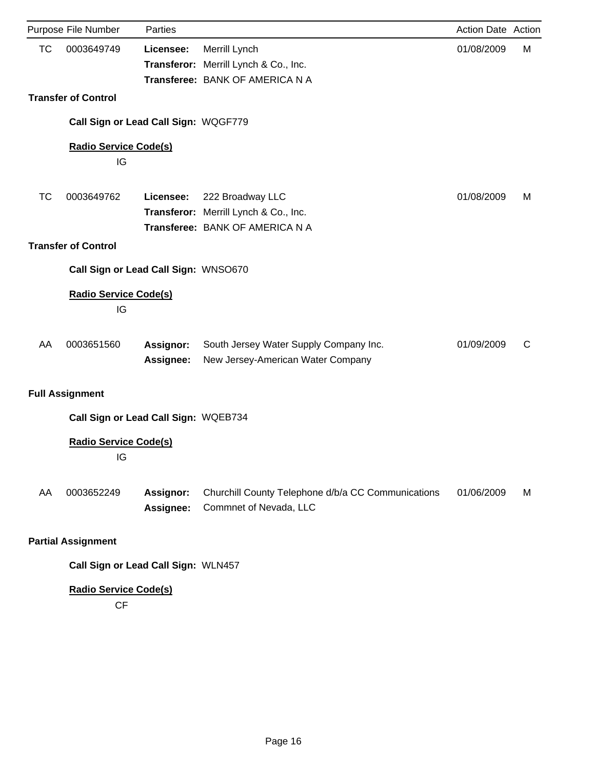| <b>TC</b><br>0003649749<br>01/08/2009<br>Merrill Lynch<br>Licensee:                                                                         | М |
|---------------------------------------------------------------------------------------------------------------------------------------------|---|
| Transferor: Merrill Lynch & Co., Inc.<br>Transferee: BANK OF AMERICA N A                                                                    |   |
| <b>Transfer of Control</b>                                                                                                                  |   |
|                                                                                                                                             |   |
| Call Sign or Lead Call Sign: WQGF779                                                                                                        |   |
| <b>Radio Service Code(s)</b><br>IG                                                                                                          |   |
| TC<br>0003649762<br>Licensee:<br>222 Broadway LLC<br>01/08/2009<br>Transferor: Merrill Lynch & Co., Inc.<br>Transferee: BANK OF AMERICA N A | M |
| <b>Transfer of Control</b>                                                                                                                  |   |
| Call Sign or Lead Call Sign: WNSO670                                                                                                        |   |
| <b>Radio Service Code(s)</b><br>IG                                                                                                          |   |
| 0003651560<br>01/09/2009<br>AA<br>Assignor:<br>South Jersey Water Supply Company Inc.<br>Assignee:<br>New Jersey-American Water Company     | C |
| <b>Full Assignment</b>                                                                                                                      |   |
| Call Sign or Lead Call Sign: WQEB734                                                                                                        |   |
| <b>Radio Service Code(s)</b><br>IG                                                                                                          |   |
| Assignor:<br>Churchill County Telephone d/b/a CC Communications<br>AA<br>0003652249<br>01/06/2009<br>Commnet of Nevada, LLC<br>Assignee:    | M |
| <b>Partial Assignment</b>                                                                                                                   |   |
| Call Sign or Lead Call Sign: WLN457                                                                                                         |   |

CF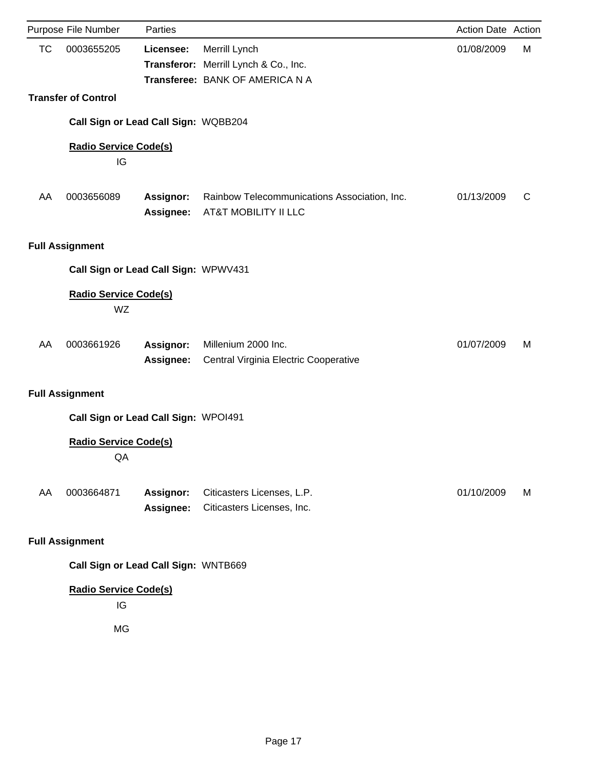|           | Purpose File Number                  | Parties                |                                                                      | Action Date Action |   |
|-----------|--------------------------------------|------------------------|----------------------------------------------------------------------|--------------------|---|
| <b>TC</b> | 0003655205                           | Licensee:              | Merrill Lynch<br>Transferor: Merrill Lynch & Co., Inc.               | 01/08/2009         | М |
|           |                                      |                        | Transferee: BANK OF AMERICA N A                                      |                    |   |
|           | <b>Transfer of Control</b>           |                        |                                                                      |                    |   |
|           | Call Sign or Lead Call Sign: WQBB204 |                        |                                                                      |                    |   |
|           | <b>Radio Service Code(s)</b><br>IG   |                        |                                                                      |                    |   |
| AA        | 0003656089                           | Assignor:<br>Assignee: | Rainbow Telecommunications Association, Inc.<br>AT&T MOBILITY II LLC | 01/13/2009         | C |
|           | <b>Full Assignment</b>               |                        |                                                                      |                    |   |
|           | Call Sign or Lead Call Sign: WPWV431 |                        |                                                                      |                    |   |
|           | <b>Radio Service Code(s)</b><br>WZ   |                        |                                                                      |                    |   |
| AA        | 0003661926                           | Assignor:<br>Assignee: | Millenium 2000 Inc.<br>Central Virginia Electric Cooperative         | 01/07/2009         | м |
|           | <b>Full Assignment</b>               |                        |                                                                      |                    |   |
|           | Call Sign or Lead Call Sign: WPOI491 |                        |                                                                      |                    |   |
|           | <b>Radio Service Code(s)</b><br>QA   |                        |                                                                      |                    |   |
| AA        | 0003664871                           | Assignor:<br>Assignee: | Citicasters Licenses, L.P.<br>Citicasters Licenses, Inc.             | 01/10/2009         | M |
|           | <b>Full Assignment</b>               |                        |                                                                      |                    |   |
|           | Call Sign or Lead Call Sign: WNTB669 |                        |                                                                      |                    |   |
|           | <b>Radio Service Code(s)</b><br>IG   |                        |                                                                      |                    |   |

MG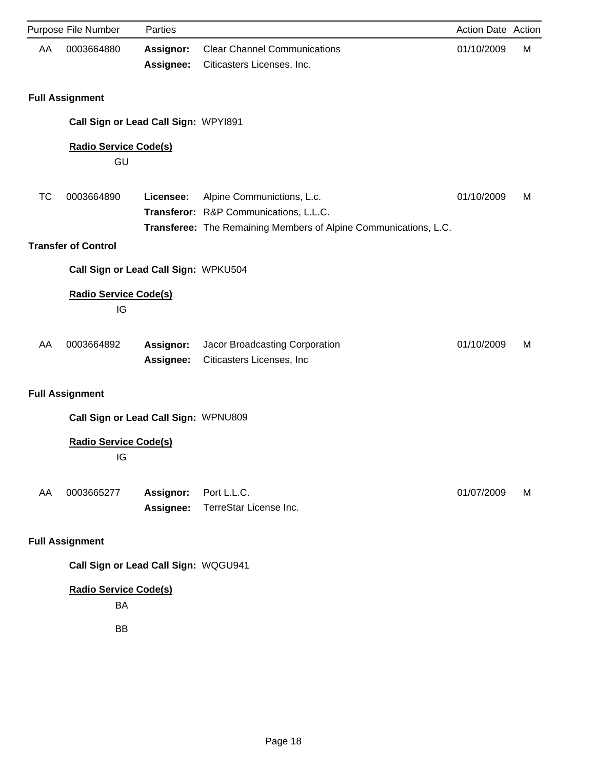|           | Purpose File Number                       | Parties                       |                                                                   | Action Date Action |   |
|-----------|-------------------------------------------|-------------------------------|-------------------------------------------------------------------|--------------------|---|
| AA        | 0003664880                                | <b>Assignor:</b><br>Assignee: | <b>Clear Channel Communications</b><br>Citicasters Licenses, Inc. | 01/10/2009         | M |
|           | <b>Full Assignment</b>                    |                               |                                                                   |                    |   |
|           | Call Sign or Lead Call Sign: WPY1891      |                               |                                                                   |                    |   |
|           | <b>Radio Service Code(s)</b>              |                               |                                                                   |                    |   |
|           | GU                                        |                               |                                                                   |                    |   |
|           |                                           |                               |                                                                   |                    |   |
| <b>TC</b> | 0003664890                                | Licensee:                     | Alpine Communictions, L.c.                                        | 01/10/2009         | M |
|           |                                           |                               | Transferor: R&P Communications, L.L.C.                            |                    |   |
|           | <b>Transfer of Control</b>                |                               | Transferee: The Remaining Members of Alpine Communications, L.C.  |                    |   |
|           |                                           |                               |                                                                   |                    |   |
|           | Call Sign or Lead Call Sign: WPKU504      |                               |                                                                   |                    |   |
|           | <b>Radio Service Code(s)</b><br>IG        |                               |                                                                   |                    |   |
| AA        | 0003664892                                | Assignor:                     | Jacor Broadcasting Corporation                                    | 01/10/2009         | M |
|           |                                           | Assignee:                     | Citicasters Licenses, Inc                                         |                    |   |
|           | <b>Full Assignment</b>                    |                               |                                                                   |                    |   |
|           | Call Sign or Lead Call Sign: WPNU809      |                               |                                                                   |                    |   |
|           | <b>Radio Service Code(s)</b><br>IG        |                               |                                                                   |                    |   |
| AA        | 0003665277                                | Assignor:<br>Assignee:        | Port L.L.C.<br>TerreStar License Inc.                             | 01/07/2009         | M |
|           | <b>Full Assignment</b>                    |                               |                                                                   |                    |   |
|           | Call Sign or Lead Call Sign: WQGU941      |                               |                                                                   |                    |   |
|           | <b>Radio Service Code(s)</b><br><b>BA</b> |                               |                                                                   |                    |   |

BB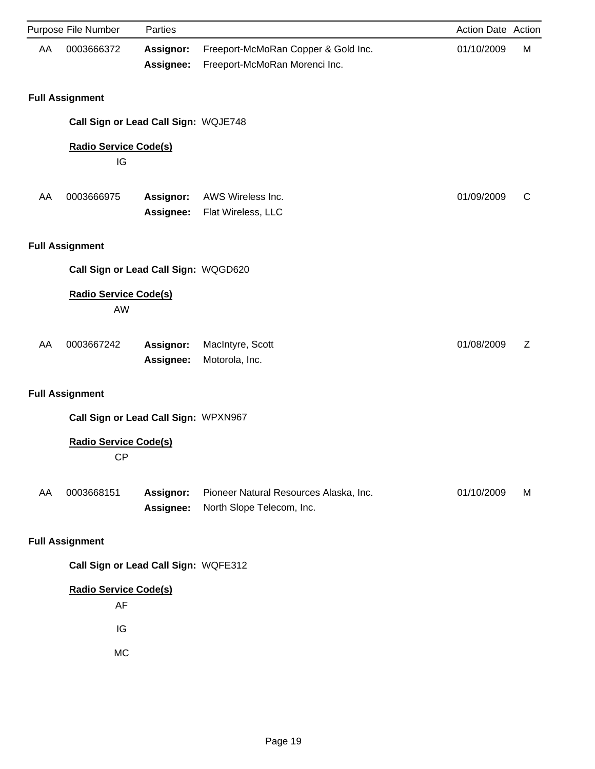|    | Purpose File Number                       | Parties                              |                                                                      | Action Date Action |   |
|----|-------------------------------------------|--------------------------------------|----------------------------------------------------------------------|--------------------|---|
| AA | 0003666372                                | Assignor:<br>Assignee:               | Freeport-McMoRan Copper & Gold Inc.<br>Freeport-McMoRan Morenci Inc. | 01/10/2009         | M |
|    | <b>Full Assignment</b>                    |                                      |                                                                      |                    |   |
|    |                                           | Call Sign or Lead Call Sign: WQJE748 |                                                                      |                    |   |
|    | <b>Radio Service Code(s)</b><br>IG        |                                      |                                                                      |                    |   |
| AA | 0003666975                                | Assignor:<br>Assignee:               | AWS Wireless Inc.<br>Flat Wireless, LLC                              | 01/09/2009         | C |
|    | <b>Full Assignment</b>                    |                                      |                                                                      |                    |   |
|    |                                           | Call Sign or Lead Call Sign: WQGD620 |                                                                      |                    |   |
|    | <b>Radio Service Code(s)</b><br>AW        |                                      |                                                                      |                    |   |
| AA | 0003667242                                | Assignor:<br>Assignee:               | MacIntyre, Scott<br>Motorola, Inc.                                   | 01/08/2009         | Z |
|    | <b>Full Assignment</b>                    |                                      |                                                                      |                    |   |
|    |                                           | Call Sign or Lead Call Sign: WPXN967 |                                                                      |                    |   |
|    | <b>Radio Service Code(s)</b><br><b>CP</b> |                                      |                                                                      |                    |   |
| AA | 0003668151                                | Assignor:<br>Assignee:               | Pioneer Natural Resources Alaska, Inc.<br>North Slope Telecom, Inc.  | 01/10/2009         | M |
|    | <b>Full Assignment</b>                    |                                      |                                                                      |                    |   |
|    |                                           | Call Sign or Lead Call Sign: WQFE312 |                                                                      |                    |   |
|    | <b>Radio Service Code(s)</b><br>AF        |                                      |                                                                      |                    |   |
|    | IG                                        |                                      |                                                                      |                    |   |
|    | <b>MC</b>                                 |                                      |                                                                      |                    |   |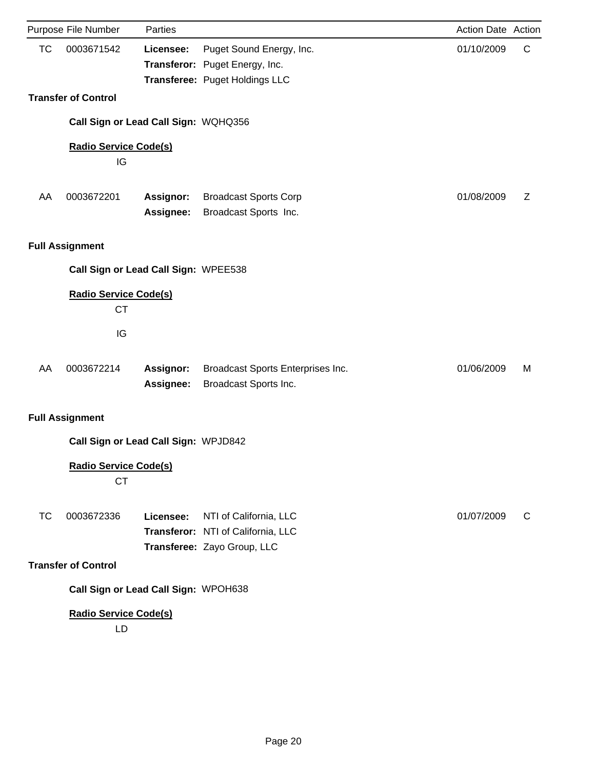|           | Purpose File Number                       | Parties                              |                                                                                              | Action Date Action |   |
|-----------|-------------------------------------------|--------------------------------------|----------------------------------------------------------------------------------------------|--------------------|---|
| <b>TC</b> | 0003671542                                | Licensee:                            | Puget Sound Energy, Inc.<br>Transferor: Puget Energy, Inc.<br>Transferee: Puget Holdings LLC | 01/10/2009         | C |
|           | <b>Transfer of Control</b>                |                                      |                                                                                              |                    |   |
|           |                                           | Call Sign or Lead Call Sign: WQHQ356 |                                                                                              |                    |   |
|           | <b>Radio Service Code(s)</b>              |                                      |                                                                                              |                    |   |
|           | IG                                        |                                      |                                                                                              |                    |   |
| AA        | 0003672201                                | Assignor:<br>Assignee:               | <b>Broadcast Sports Corp</b><br>Broadcast Sports Inc.                                        | 01/08/2009         | Ζ |
|           | <b>Full Assignment</b>                    |                                      |                                                                                              |                    |   |
|           |                                           | Call Sign or Lead Call Sign: WPEE538 |                                                                                              |                    |   |
|           | <b>Radio Service Code(s)</b><br><b>CT</b> |                                      |                                                                                              |                    |   |
|           | IG                                        |                                      |                                                                                              |                    |   |
| AA        | 0003672214                                | Assignor:<br>Assignee:               | Broadcast Sports Enterprises Inc.<br>Broadcast Sports Inc.                                   | 01/06/2009         | м |
|           | <b>Full Assignment</b>                    |                                      |                                                                                              |                    |   |
|           |                                           | Call Sign or Lead Call Sign: WPJD842 |                                                                                              |                    |   |
|           | <b>Radio Service Code(s)</b><br><b>CT</b> |                                      |                                                                                              |                    |   |
| <b>TC</b> | 0003672336                                | Licensee:                            | NTI of California, LLC<br>Transferor: NTI of California, LLC<br>Transferee: Zayo Group, LLC  | 01/07/2009         | C |
|           | <b>Transfer of Control</b>                |                                      |                                                                                              |                    |   |
|           |                                           | Call Sign or Lead Call Sign: WPOH638 |                                                                                              |                    |   |
|           | <b>Radio Service Code(s)</b><br>LD        |                                      |                                                                                              |                    |   |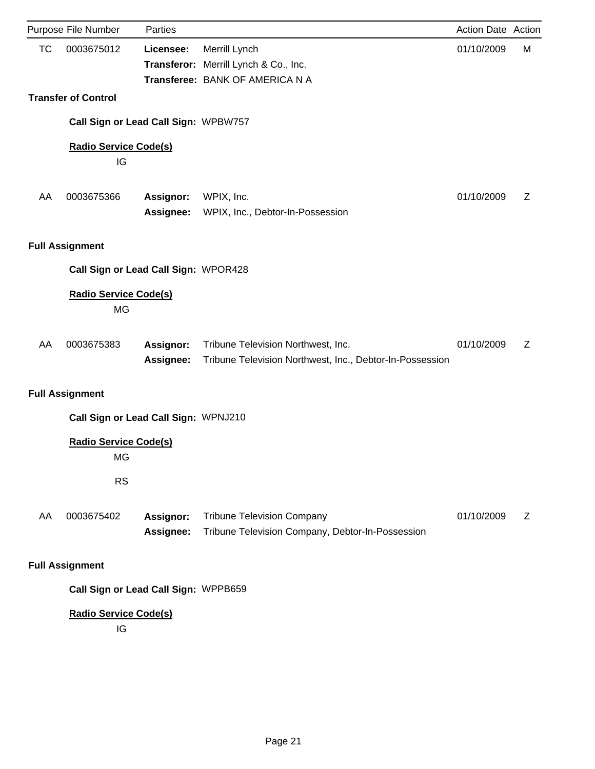|           | Purpose File Number                       | Parties                       |                                                                                                | Action Date Action |   |
|-----------|-------------------------------------------|-------------------------------|------------------------------------------------------------------------------------------------|--------------------|---|
| <b>TC</b> | 0003675012                                | Licensee:                     | Merrill Lynch<br>Transferor: Merrill Lynch & Co., Inc.<br>Transferee: BANK OF AMERICA N A      | 01/10/2009         | М |
|           | <b>Transfer of Control</b>                |                               |                                                                                                |                    |   |
|           | Call Sign or Lead Call Sign: WPBW757      |                               |                                                                                                |                    |   |
|           | <b>Radio Service Code(s)</b>              |                               |                                                                                                |                    |   |
|           | IG                                        |                               |                                                                                                |                    |   |
| AA        | 0003675366                                | Assignor:<br>Assignee:        | WPIX, Inc.                                                                                     | 01/10/2009         | Z |
|           |                                           |                               | WPIX, Inc., Debtor-In-Possession                                                               |                    |   |
|           | <b>Full Assignment</b>                    |                               |                                                                                                |                    |   |
|           | Call Sign or Lead Call Sign: WPOR428      |                               |                                                                                                |                    |   |
|           | <b>Radio Service Code(s)</b><br><b>MG</b> |                               |                                                                                                |                    |   |
| AA        | 0003675383                                | <b>Assignor:</b><br>Assignee: | Tribune Television Northwest, Inc.<br>Tribune Television Northwest, Inc., Debtor-In-Possession | 01/10/2009         | Z |
|           | <b>Full Assignment</b>                    |                               |                                                                                                |                    |   |
|           | Call Sign or Lead Call Sign: WPNJ210      |                               |                                                                                                |                    |   |
|           | <b>Radio Service Code(s)</b><br><b>MG</b> |                               |                                                                                                |                    |   |
|           | <b>RS</b>                                 |                               |                                                                                                |                    |   |
| AA        | 0003675402                                | <b>Assignor:</b><br>Assignee: | <b>Tribune Television Company</b><br>Tribune Television Company, Debtor-In-Possession          | 01/10/2009         | Z |
|           | <b>Full Assignment</b>                    |                               |                                                                                                |                    |   |
|           | Call Sign or Lead Call Sign: WPPB659      |                               |                                                                                                |                    |   |
|           | <b>Radio Service Code(s)</b><br>IG        |                               |                                                                                                |                    |   |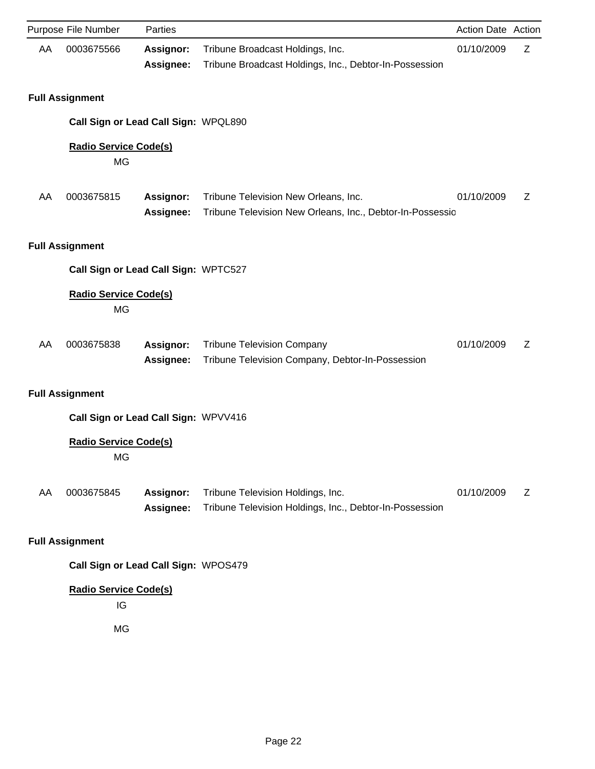|    | Purpose File Number                  | Parties          |                                                           | <b>Action Date Action</b> |   |
|----|--------------------------------------|------------------|-----------------------------------------------------------|---------------------------|---|
| AA | 0003675566                           | Assignor:        | Tribune Broadcast Holdings, Inc.                          | 01/10/2009                | Z |
|    |                                      | Assignee:        | Tribune Broadcast Holdings, Inc., Debtor-In-Possession    |                           |   |
|    | <b>Full Assignment</b>               |                  |                                                           |                           |   |
|    | Call Sign or Lead Call Sign: WPQL890 |                  |                                                           |                           |   |
|    |                                      |                  |                                                           |                           |   |
|    | <b>Radio Service Code(s)</b><br>MG   |                  |                                                           |                           |   |
|    |                                      |                  |                                                           |                           |   |
| AA | 0003675815                           | <b>Assignor:</b> | Tribune Television New Orleans, Inc.                      | 01/10/2009                | Ζ |
|    |                                      | Assignee:        | Tribune Television New Orleans, Inc., Debtor-In-Possessio |                           |   |
|    | <b>Full Assignment</b>               |                  |                                                           |                           |   |
|    | Call Sign or Lead Call Sign: WPTC527 |                  |                                                           |                           |   |
|    | <b>Radio Service Code(s)</b>         |                  |                                                           |                           |   |
|    | <b>MG</b>                            |                  |                                                           |                           |   |
|    |                                      |                  |                                                           |                           |   |
| AA | 0003675838                           | Assignor:        | <b>Tribune Television Company</b>                         | 01/10/2009                | Ζ |
|    |                                      | Assignee:        | Tribune Television Company, Debtor-In-Possession          |                           |   |
|    | <b>Full Assignment</b>               |                  |                                                           |                           |   |
|    | Call Sign or Lead Call Sign: WPVV416 |                  |                                                           |                           |   |
|    | <b>Radio Service Code(s)</b>         |                  |                                                           |                           |   |
|    | MG                                   |                  |                                                           |                           |   |
| AA | 0003675845                           | Assignor:        | Tribune Television Holdings, Inc.                         | 01/10/2009                | Ζ |
|    |                                      | Assignee:        | Tribune Television Holdings, Inc., Debtor-In-Possession   |                           |   |
|    | <b>Full Assignment</b>               |                  |                                                           |                           |   |
|    | Call Sign or Lead Call Sign: WPOS479 |                  |                                                           |                           |   |
|    | <b>Radio Service Code(s)</b><br>IG   |                  |                                                           |                           |   |

MG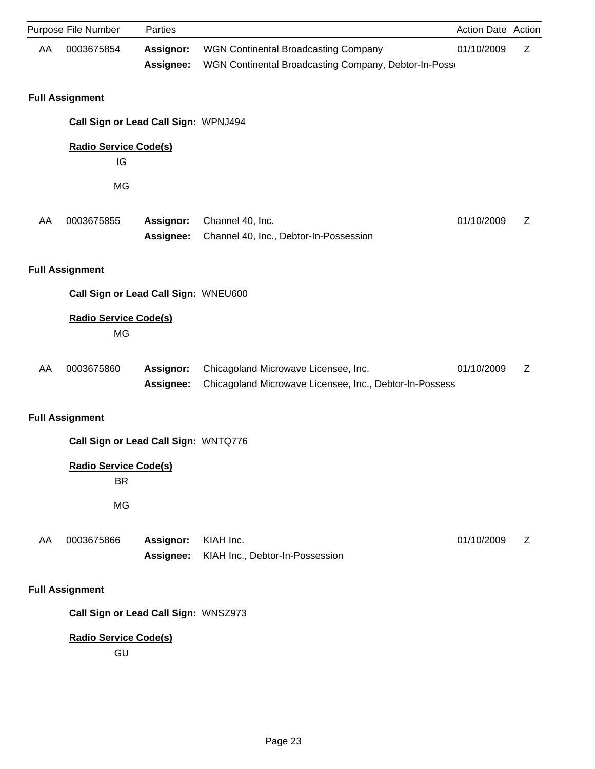|    | Purpose File Number                       | Parties                       |                                                                                                 | Action Date Action |   |
|----|-------------------------------------------|-------------------------------|-------------------------------------------------------------------------------------------------|--------------------|---|
| AA | 0003675854                                | <b>Assignor:</b><br>Assignee: | WGN Continental Broadcasting Company<br>WGN Continental Broadcasting Company, Debtor-In-Posse   | 01/10/2009         | Z |
|    | <b>Full Assignment</b>                    |                               |                                                                                                 |                    |   |
|    | Call Sign or Lead Call Sign: WPNJ494      |                               |                                                                                                 |                    |   |
|    | <b>Radio Service Code(s)</b><br>IG        |                               |                                                                                                 |                    |   |
|    | <b>MG</b>                                 |                               |                                                                                                 |                    |   |
| AA | 0003675855                                | <b>Assignor:</b><br>Assignee: | Channel 40, Inc.<br>Channel 40, Inc., Debtor-In-Possession                                      | 01/10/2009         | Ζ |
|    | <b>Full Assignment</b>                    |                               |                                                                                                 |                    |   |
|    | Call Sign or Lead Call Sign: WNEU600      |                               |                                                                                                 |                    |   |
|    | <b>Radio Service Code(s)</b><br><b>MG</b> |                               |                                                                                                 |                    |   |
| AA | 0003675860                                | Assignor:<br>Assignee:        | Chicagoland Microwave Licensee, Inc.<br>Chicagoland Microwave Licensee, Inc., Debtor-In-Possess | 01/10/2009         | Ζ |
|    | <b>Full Assignment</b>                    |                               |                                                                                                 |                    |   |
|    | Call Sign or Lead Call Sign: WNTQ776      |                               |                                                                                                 |                    |   |
|    | <b>Radio Service Code(s)</b><br><b>BR</b> |                               |                                                                                                 |                    |   |
|    | MG                                        |                               |                                                                                                 |                    |   |
| AA | 0003675866                                | Assignor:<br>Assignee:        | KIAH Inc.<br>KIAH Inc., Debtor-In-Possession                                                    | 01/10/2009         | Z |
|    | <b>Full Assignment</b>                    |                               |                                                                                                 |                    |   |
|    | Call Sign or Lead Call Sign: WNSZ973      |                               |                                                                                                 |                    |   |
|    | Radio Service Code(s)                     |                               |                                                                                                 |                    |   |

GU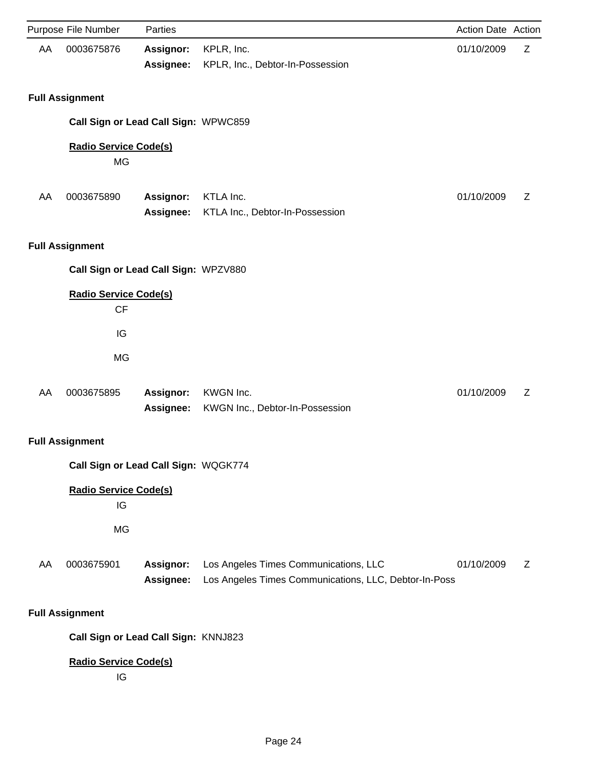|    | Purpose File Number                       | Parties                       |                                                                                                | Action Date Action |   |
|----|-------------------------------------------|-------------------------------|------------------------------------------------------------------------------------------------|--------------------|---|
| AA | 0003675876                                | <b>Assignor:</b><br>Assignee: | KPLR, Inc.<br>KPLR, Inc., Debtor-In-Possession                                                 | 01/10/2009         | Ζ |
|    | <b>Full Assignment</b>                    |                               |                                                                                                |                    |   |
|    | Call Sign or Lead Call Sign: WPWC859      |                               |                                                                                                |                    |   |
|    | <b>Radio Service Code(s)</b><br><b>MG</b> |                               |                                                                                                |                    |   |
| AA | 0003675890                                | <b>Assignor:</b><br>Assignee: | KTLA Inc.<br>KTLA Inc., Debtor-In-Possession                                                   | 01/10/2009         | Z |
|    | <b>Full Assignment</b>                    |                               |                                                                                                |                    |   |
|    | Call Sign or Lead Call Sign: WPZV880      |                               |                                                                                                |                    |   |
|    | <b>Radio Service Code(s)</b><br>CF        |                               |                                                                                                |                    |   |
|    | IG                                        |                               |                                                                                                |                    |   |
|    | <b>MG</b>                                 |                               |                                                                                                |                    |   |
| AA | 0003675895                                | Assignor:<br>Assignee:        | KWGN Inc.<br>KWGN Inc., Debtor-In-Possession                                                   | 01/10/2009         | Z |
|    | <b>Full Assignment</b>                    |                               |                                                                                                |                    |   |
|    | Call Sign or Lead Call Sign: WQGK774      |                               |                                                                                                |                    |   |
|    | <b>Radio Service Code(s)</b><br>IG        |                               |                                                                                                |                    |   |
|    | MG                                        |                               |                                                                                                |                    |   |
| AA | 0003675901                                | Assignor:<br>Assignee:        | Los Angeles Times Communications, LLC<br>Los Angeles Times Communications, LLC, Debtor-In-Poss | 01/10/2009         | Ζ |
|    | <b>Full Assignment</b>                    |                               |                                                                                                |                    |   |
|    | Call Sign or Lead Call Sign: KNNJ823      |                               |                                                                                                |                    |   |
|    | <b>Radio Service Code(s)</b><br>IG        |                               |                                                                                                |                    |   |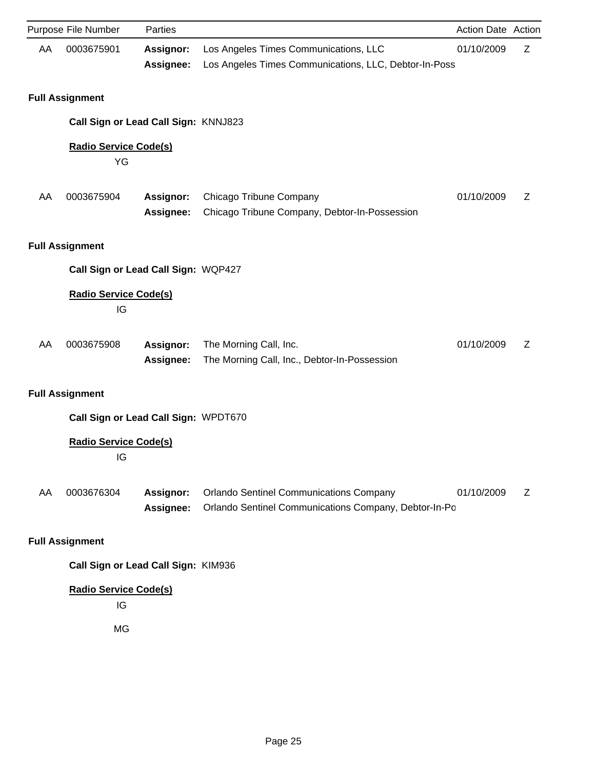|    | Purpose File Number                  | Parties                              |                                                                                                         | Action Date Action |   |
|----|--------------------------------------|--------------------------------------|---------------------------------------------------------------------------------------------------------|--------------------|---|
| AA | 0003675901                           | <b>Assignor:</b><br>Assignee:        | Los Angeles Times Communications, LLC<br>Los Angeles Times Communications, LLC, Debtor-In-Poss          | 01/10/2009         | Ζ |
|    | <b>Full Assignment</b>               |                                      |                                                                                                         |                    |   |
|    | Call Sign or Lead Call Sign: KNNJ823 |                                      |                                                                                                         |                    |   |
|    | <b>Radio Service Code(s)</b><br>YG   |                                      |                                                                                                         |                    |   |
| AA | 0003675904                           | <b>Assignor:</b><br>Assignee:        | Chicago Tribune Company<br>Chicago Tribune Company, Debtor-In-Possession                                | 01/10/2009         | Z |
|    | <b>Full Assignment</b>               |                                      |                                                                                                         |                    |   |
|    | Call Sign or Lead Call Sign: WQP427  |                                      |                                                                                                         |                    |   |
|    | <b>Radio Service Code(s)</b><br>IG   |                                      |                                                                                                         |                    |   |
| AA | 0003675908                           | <b>Assignor:</b><br>Assignee:        | The Morning Call, Inc.<br>The Morning Call, Inc., Debtor-In-Possession                                  | 01/10/2009         | Ζ |
|    | <b>Full Assignment</b>               |                                      |                                                                                                         |                    |   |
|    | Call Sign or Lead Call Sign: WPDT670 |                                      |                                                                                                         |                    |   |
|    | <b>Radio Service Code(s)</b><br>IG   |                                      |                                                                                                         |                    |   |
| AA | 0003676304                           | <b>Assignor:</b><br><b>Assignee:</b> | <b>Orlando Sentinel Communications Company</b><br>Orlando Sentinel Communications Company, Debtor-In-Po | 01/10/2009         | Ζ |
|    | <b>Full Assignment</b>               |                                      |                                                                                                         |                    |   |
|    | Call Sign or Lead Call Sign: KIM936  |                                      |                                                                                                         |                    |   |
|    | <b>Radio Service Code(s)</b><br>IG   |                                      |                                                                                                         |                    |   |
|    | MG                                   |                                      |                                                                                                         |                    |   |

Page 25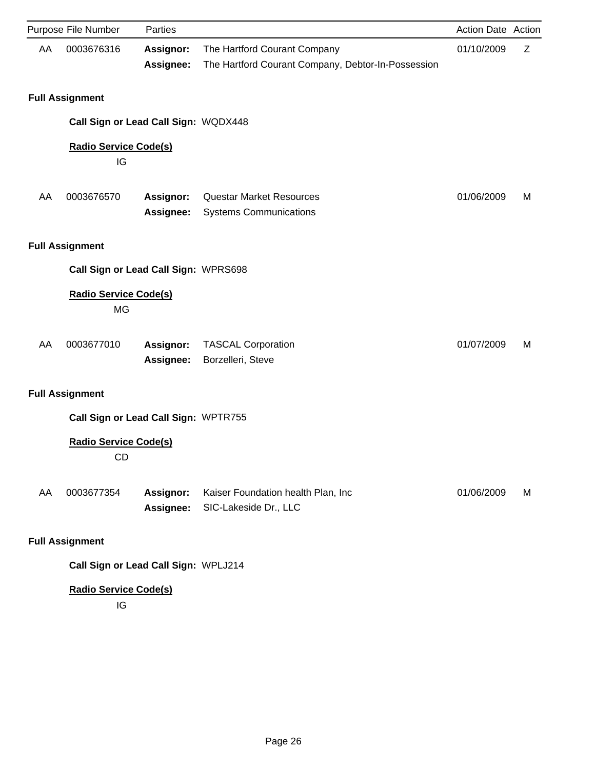|    | Purpose File Number                       | Parties                       |                                                                                    | Action Date Action |   |
|----|-------------------------------------------|-------------------------------|------------------------------------------------------------------------------------|--------------------|---|
| AA | 0003676316                                | <b>Assignor:</b><br>Assignee: | The Hartford Courant Company<br>The Hartford Courant Company, Debtor-In-Possession | 01/10/2009         | Z |
|    | <b>Full Assignment</b>                    |                               |                                                                                    |                    |   |
|    | Call Sign or Lead Call Sign: WQDX448      |                               |                                                                                    |                    |   |
|    | <b>Radio Service Code(s)</b><br>IG        |                               |                                                                                    |                    |   |
| AA | 0003676570                                | <b>Assignor:</b><br>Assignee: | <b>Questar Market Resources</b><br><b>Systems Communications</b>                   | 01/06/2009         | M |
|    | <b>Full Assignment</b>                    |                               |                                                                                    |                    |   |
|    | Call Sign or Lead Call Sign: WPRS698      |                               |                                                                                    |                    |   |
|    | <b>Radio Service Code(s)</b><br><b>MG</b> |                               |                                                                                    |                    |   |
| AA | 0003677010                                | Assignor:<br>Assignee:        | <b>TASCAL Corporation</b><br>Borzelleri, Steve                                     | 01/07/2009         | м |
|    | <b>Full Assignment</b>                    |                               |                                                                                    |                    |   |
|    | Call Sign or Lead Call Sign: WPTR755      |                               |                                                                                    |                    |   |
|    | <b>Radio Service Code(s)</b><br>CD        |                               |                                                                                    |                    |   |
| AA | 0003677354                                | Assignor:<br>Assignee:        | Kaiser Foundation health Plan, Inc<br>SIC-Lakeside Dr., LLC                        | 01/06/2009         | M |
|    | <b>Full Assignment</b>                    |                               |                                                                                    |                    |   |

**Call Sign or Lead Call Sign:** WPLJ214

# **Radio Service Code(s)**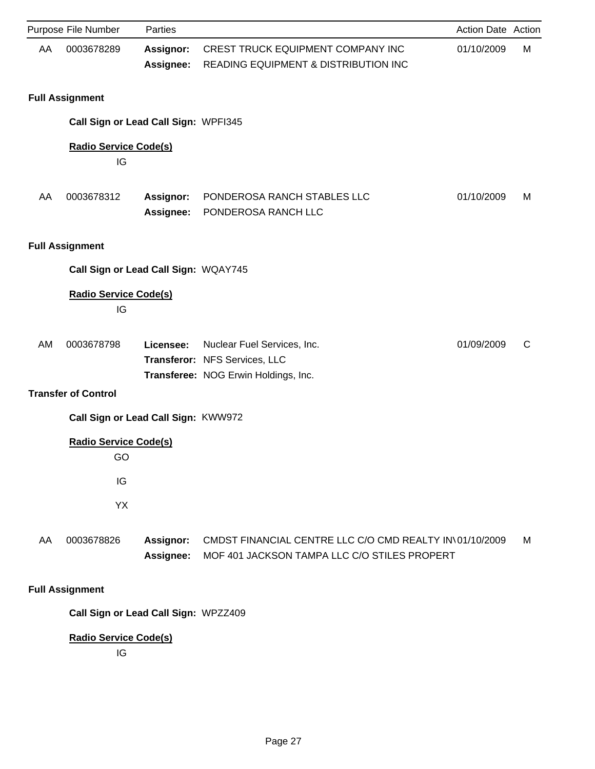|    | Purpose File Number                  | Parties                              |                                                                                                         | Action Date Action |   |
|----|--------------------------------------|--------------------------------------|---------------------------------------------------------------------------------------------------------|--------------------|---|
| AA | 0003678289                           | Assignor:<br>Assignee:               | CREST TRUCK EQUIPMENT COMPANY INC<br>READING EQUIPMENT & DISTRIBUTION INC                               | 01/10/2009         | M |
|    | <b>Full Assignment</b>               |                                      |                                                                                                         |                    |   |
|    | Call Sign or Lead Call Sign: WPFI345 |                                      |                                                                                                         |                    |   |
|    | <b>Radio Service Code(s)</b><br>IG   |                                      |                                                                                                         |                    |   |
| AA | 0003678312                           | <b>Assignor:</b><br><b>Assignee:</b> | PONDEROSA RANCH STABLES LLC<br>PONDEROSA RANCH LLC                                                      | 01/10/2009         | м |
|    | <b>Full Assignment</b>               |                                      |                                                                                                         |                    |   |
|    | Call Sign or Lead Call Sign: WQAY745 |                                      |                                                                                                         |                    |   |
|    | <b>Radio Service Code(s)</b><br>IG   |                                      |                                                                                                         |                    |   |
| AM | 0003678798                           | Licensee:                            | Nuclear Fuel Services, Inc.<br>Transferor: NFS Services, LLC<br>Transferee: NOG Erwin Holdings, Inc.    | 01/09/2009         | C |
|    | <b>Transfer of Control</b>           |                                      |                                                                                                         |                    |   |
|    | Call Sign or Lead Call Sign: KWW972  |                                      |                                                                                                         |                    |   |
|    | <b>Radio Service Code(s)</b><br>GO   |                                      |                                                                                                         |                    |   |
|    | IG                                   |                                      |                                                                                                         |                    |   |
|    | YX                                   |                                      |                                                                                                         |                    |   |
| AA | 0003678826                           | Assignor:<br>Assignee:               | CMDST FINANCIAL CENTRE LLC C/O CMD REALTY IN\01/10/2009<br>MOF 401 JACKSON TAMPA LLC C/O STILES PROPERT |                    | M |
|    | <b>Full Assignment</b>               |                                      |                                                                                                         |                    |   |
|    | Call Sign or Lead Call Sign: WPZZ409 |                                      |                                                                                                         |                    |   |
|    | <b>Radio Service Code(s)</b>         |                                      |                                                                                                         |                    |   |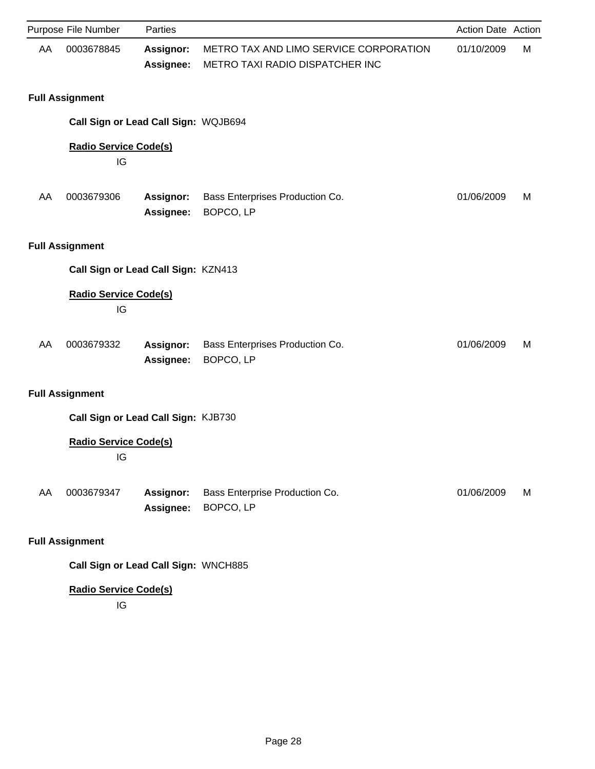|    | Purpose File Number                  | Parties                       |                                                                           | Action Date Action |   |
|----|--------------------------------------|-------------------------------|---------------------------------------------------------------------------|--------------------|---|
| AA | 0003678845                           | <b>Assignor:</b><br>Assignee: | METRO TAX AND LIMO SERVICE CORPORATION<br>METRO TAXI RADIO DISPATCHER INC | 01/10/2009         | М |
|    | <b>Full Assignment</b>               |                               |                                                                           |                    |   |
|    | Call Sign or Lead Call Sign: WQJB694 |                               |                                                                           |                    |   |
|    | <b>Radio Service Code(s)</b><br>IG   |                               |                                                                           |                    |   |
| AA | 0003679306                           | Assignor:<br>Assignee:        | Bass Enterprises Production Co.<br>BOPCO, LP                              | 01/06/2009         | м |
|    | <b>Full Assignment</b>               |                               |                                                                           |                    |   |
|    | Call Sign or Lead Call Sign: KZN413  |                               |                                                                           |                    |   |
|    | <b>Radio Service Code(s)</b><br>IG   |                               |                                                                           |                    |   |
| AA | 0003679332                           | Assignor:<br>Assignee:        | Bass Enterprises Production Co.<br>BOPCO, LP                              | 01/06/2009         | м |
|    | <b>Full Assignment</b>               |                               |                                                                           |                    |   |
|    | Call Sign or Lead Call Sign: KJB730  |                               |                                                                           |                    |   |
|    | <b>Radio Service Code(s)</b><br>IG   |                               |                                                                           |                    |   |
| AA | 0003679347                           | Assignor:<br>Assignee:        | Bass Enterprise Production Co.<br>BOPCO, LP                               | 01/06/2009         | M |
|    | <b>Full Assignment</b>               |                               |                                                                           |                    |   |
|    | Call Sign or Lead Call Sign: WNCH885 |                               |                                                                           |                    |   |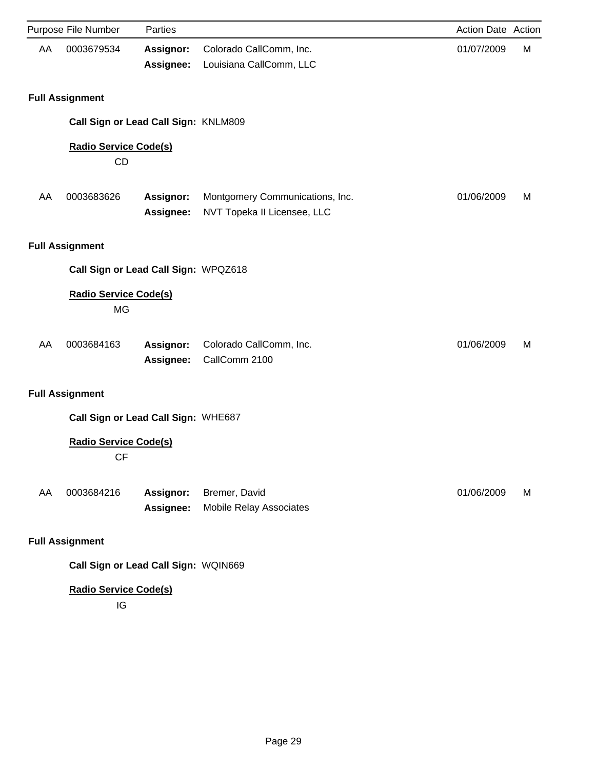|    | Purpose File Number                                    | Parties                |                                                                | Action Date Action |   |
|----|--------------------------------------------------------|------------------------|----------------------------------------------------------------|--------------------|---|
| AA | 0003679534                                             | Assignor:<br>Assignee: | Colorado CallComm, Inc.<br>Louisiana CallComm, LLC             | 01/07/2009         | М |
|    | <b>Full Assignment</b>                                 |                        |                                                                |                    |   |
|    | Call Sign or Lead Call Sign: KNLM809                   |                        |                                                                |                    |   |
|    | <b>Radio Service Code(s)</b><br><b>CD</b>              |                        |                                                                |                    |   |
| AA | 0003683626                                             | Assignor:<br>Assignee: | Montgomery Communications, Inc.<br>NVT Topeka II Licensee, LLC | 01/06/2009         | м |
|    | <b>Full Assignment</b>                                 |                        |                                                                |                    |   |
|    | Call Sign or Lead Call Sign: WPQZ618                   |                        |                                                                |                    |   |
|    | <b>Radio Service Code(s)</b><br><b>MG</b>              |                        |                                                                |                    |   |
| AA | 0003684163                                             | Assignor:<br>Assignee: | Colorado CallComm, Inc.<br>CallComm 2100                       | 01/06/2009         | м |
|    | <b>Full Assignment</b>                                 |                        |                                                                |                    |   |
|    | Call Sign or Lead Call Sign: WHE687                    |                        |                                                                |                    |   |
|    | <b>Radio Service Code(s)</b><br>$\mathsf{C}\mathsf{F}$ |                        |                                                                |                    |   |
| AA | 0003684216                                             | Assignor:<br>Assignee: | Bremer, David<br>Mobile Relay Associates                       | 01/06/2009         | M |
|    | <b>Full Assignment</b>                                 |                        |                                                                |                    |   |
|    | Call Sign or Lead Call Sign: WQIN669                   |                        |                                                                |                    |   |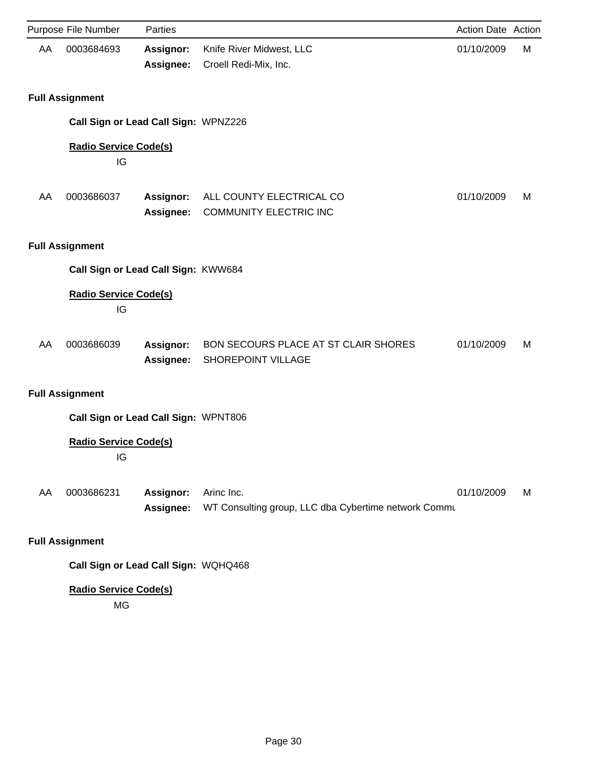|    | Purpose File Number                  | Parties                              |                                                                    | <b>Action Date Action</b> |   |
|----|--------------------------------------|--------------------------------------|--------------------------------------------------------------------|---------------------------|---|
| AA | 0003684693                           | Assignor:<br>Assignee:               | Knife River Midwest, LLC<br>Croell Redi-Mix, Inc.                  | 01/10/2009                | М |
|    | <b>Full Assignment</b>               |                                      |                                                                    |                           |   |
|    | Call Sign or Lead Call Sign: WPNZ226 |                                      |                                                                    |                           |   |
|    | <b>Radio Service Code(s)</b><br>IG   |                                      |                                                                    |                           |   |
| AA | 0003686037                           | <b>Assignor:</b><br>Assignee:        | ALL COUNTY ELECTRICAL CO<br><b>COMMUNITY ELECTRIC INC</b>          | 01/10/2009                | M |
|    | <b>Full Assignment</b>               |                                      |                                                                    |                           |   |
|    | Call Sign or Lead Call Sign: KWW684  |                                      |                                                                    |                           |   |
|    | <b>Radio Service Code(s)</b><br>IG   |                                      |                                                                    |                           |   |
| AA | 0003686039                           | Assignor:<br><b>Assignee:</b>        | BON SECOURS PLACE AT ST CLAIR SHORES<br>SHOREPOINT VILLAGE         | 01/10/2009                | M |
|    | <b>Full Assignment</b>               |                                      |                                                                    |                           |   |
|    | Call Sign or Lead Call Sign: WPNT806 |                                      |                                                                    |                           |   |
|    | <b>Radio Service Code(s)</b><br>IG   |                                      |                                                                    |                           |   |
| AA | 0003686231                           | <b>Assignor:</b><br><b>Assignee:</b> | Arinc Inc.<br>WT Consulting group, LLC dba Cybertime network Commu | 01/10/2009                | M |
|    | <b>Full Assignment</b>               |                                      |                                                                    |                           |   |
|    | Call Sign or Lead Call Sign: WQHQ468 |                                      |                                                                    |                           |   |

MG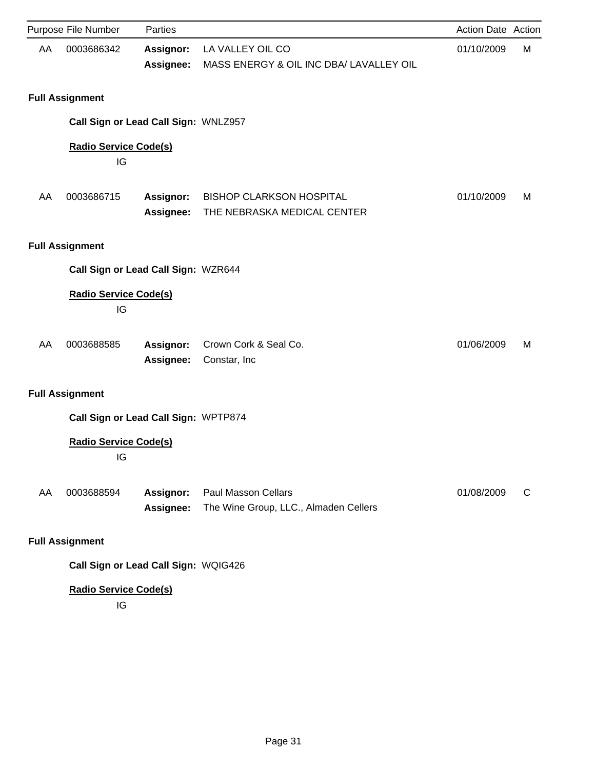|    | Purpose File Number                | Parties                              |                                                                     | Action Date Action |   |
|----|------------------------------------|--------------------------------------|---------------------------------------------------------------------|--------------------|---|
| AA | 0003686342                         | Assignor:<br>Assignee:               | LA VALLEY OIL CO<br>MASS ENERGY & OIL INC DBA/ LAVALLEY OIL         | 01/10/2009         | М |
|    | <b>Full Assignment</b>             |                                      |                                                                     |                    |   |
|    |                                    | Call Sign or Lead Call Sign: WNLZ957 |                                                                     |                    |   |
|    | <b>Radio Service Code(s)</b><br>IG |                                      |                                                                     |                    |   |
| AA | 0003686715                         | Assignor:<br>Assignee:               | <b>BISHOP CLARKSON HOSPITAL</b><br>THE NEBRASKA MEDICAL CENTER      | 01/10/2009         | М |
|    | <b>Full Assignment</b>             |                                      |                                                                     |                    |   |
|    |                                    | Call Sign or Lead Call Sign: WZR644  |                                                                     |                    |   |
|    | <b>Radio Service Code(s)</b><br>IG |                                      |                                                                     |                    |   |
| AA | 0003688585                         | Assignor:<br>Assignee:               | Crown Cork & Seal Co.<br>Constar, Inc                               | 01/06/2009         | М |
|    | <b>Full Assignment</b>             |                                      |                                                                     |                    |   |
|    |                                    | Call Sign or Lead Call Sign: WPTP874 |                                                                     |                    |   |
|    | <b>Radio Service Code(s)</b><br>IG |                                      |                                                                     |                    |   |
| AA | 0003688594                         | Assignor:<br>Assignee:               | <b>Paul Masson Cellars</b><br>The Wine Group, LLC., Almaden Cellers | 01/08/2009         | C |
|    | <b>Full Assignment</b>             |                                      |                                                                     |                    |   |
|    |                                    | Call Sign or Lead Call Sign: WQIG426 |                                                                     |                    |   |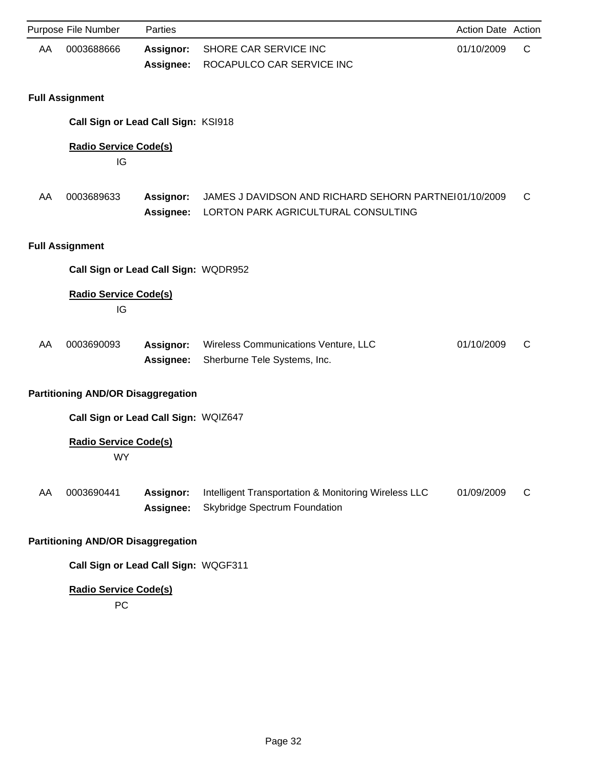|    | Purpose File Number                       | Parties                              |                                                                                              | Action Date Action |   |
|----|-------------------------------------------|--------------------------------------|----------------------------------------------------------------------------------------------|--------------------|---|
| AA | 0003688666                                | Assignor:<br>Assignee:               | SHORE CAR SERVICE INC<br>ROCAPULCO CAR SERVICE INC                                           | 01/10/2009         | C |
|    | <b>Full Assignment</b>                    |                                      |                                                                                              |                    |   |
|    | Call Sign or Lead Call Sign: KSI918       |                                      |                                                                                              |                    |   |
|    | <b>Radio Service Code(s)</b><br>IG        |                                      |                                                                                              |                    |   |
| AA | 0003689633                                | <b>Assignor:</b><br><b>Assignee:</b> | JAMES J DAVIDSON AND RICHARD SEHORN PARTNE101/10/2009<br>LORTON PARK AGRICULTURAL CONSULTING |                    | C |
|    | <b>Full Assignment</b>                    |                                      |                                                                                              |                    |   |
|    | Call Sign or Lead Call Sign: WQDR952      |                                      |                                                                                              |                    |   |
|    | <b>Radio Service Code(s)</b><br>IG        |                                      |                                                                                              |                    |   |
| AA | 0003690093                                | Assignor:<br>Assignee:               | Wireless Communications Venture, LLC<br>Sherburne Tele Systems, Inc.                         | 01/10/2009         | C |
|    | <b>Partitioning AND/OR Disaggregation</b> |                                      |                                                                                              |                    |   |
|    | Call Sign or Lead Call Sign: WQIZ647      |                                      |                                                                                              |                    |   |
|    | <b>Radio Service Code(s)</b><br><b>WY</b> |                                      |                                                                                              |                    |   |
| AA | 0003690441                                | <b>Assignor:</b><br>Assignee:        | Intelligent Transportation & Monitoring Wireless LLC<br>Skybridge Spectrum Foundation        | 01/09/2009         | C |
|    | <b>Partitioning AND/OR Disaggregation</b> |                                      |                                                                                              |                    |   |
|    | Call Sign or Lead Call Sign: WQGF311      |                                      |                                                                                              |                    |   |

PC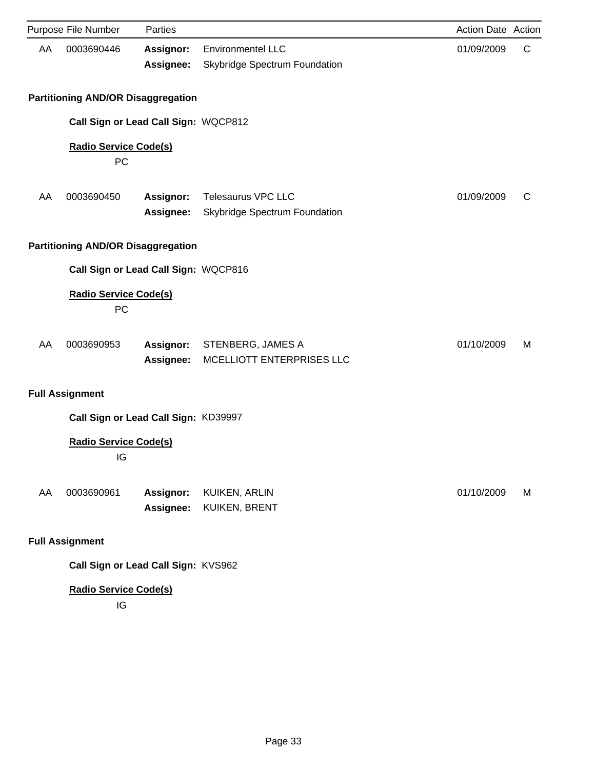|    | Purpose File Number                       | Parties                       |                                                            | Action Date Action |   |
|----|-------------------------------------------|-------------------------------|------------------------------------------------------------|--------------------|---|
| AA | 0003690446                                | <b>Assignor:</b><br>Assignee: | <b>Environmentel LLC</b><br>Skybridge Spectrum Foundation  | 01/09/2009         | C |
|    | <b>Partitioning AND/OR Disaggregation</b> |                               |                                                            |                    |   |
|    | Call Sign or Lead Call Sign: WQCP812      |                               |                                                            |                    |   |
|    | <b>Radio Service Code(s)</b><br>PC        |                               |                                                            |                    |   |
| AA | 0003690450                                | Assignor:<br>Assignee:        | <b>Telesaurus VPC LLC</b><br>Skybridge Spectrum Foundation | 01/09/2009         | C |
|    | <b>Partitioning AND/OR Disaggregation</b> |                               |                                                            |                    |   |
|    | Call Sign or Lead Call Sign: WQCP816      |                               |                                                            |                    |   |
|    | <b>Radio Service Code(s)</b><br>PC        |                               |                                                            |                    |   |
| AA | 0003690953                                | Assignor:<br>Assignee:        | STENBERG, JAMES A<br>MCELLIOTT ENTERPRISES LLC             | 01/10/2009         | м |
|    | <b>Full Assignment</b>                    |                               |                                                            |                    |   |
|    | Call Sign or Lead Call Sign: KD39997      |                               |                                                            |                    |   |
|    | <b>Radio Service Code(s)</b><br>IG        |                               |                                                            |                    |   |
| AA | 0003690961                                | <b>Assignor:</b><br>Assignee: | KUIKEN, ARLIN<br>KUIKEN, BRENT                             | 01/10/2009         | M |
|    | <b>Full Assignment</b>                    |                               |                                                            |                    |   |

**Call Sign or Lead Call Sign:** KVS962

# **Radio Service Code(s)**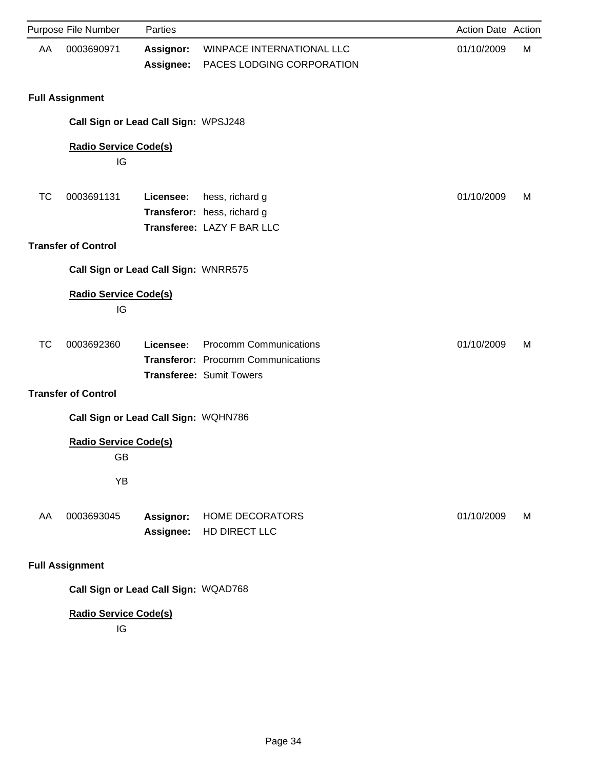|           | Purpose File Number                  | Parties                       |                                                                                                               | Action Date Action |   |
|-----------|--------------------------------------|-------------------------------|---------------------------------------------------------------------------------------------------------------|--------------------|---|
| AA        | 0003690971                           | <b>Assignor:</b><br>Assignee: | WINPACE INTERNATIONAL LLC<br>PACES LODGING CORPORATION                                                        | 01/10/2009         | M |
|           | <b>Full Assignment</b>               |                               |                                                                                                               |                    |   |
|           | Call Sign or Lead Call Sign: WPSJ248 |                               |                                                                                                               |                    |   |
|           | <b>Radio Service Code(s)</b><br>IG   |                               |                                                                                                               |                    |   |
| <b>TC</b> | 0003691131                           | Licensee:                     | hess, richard g<br>Transferor: hess, richard g<br>Transferee: LAZY F BAR LLC                                  | 01/10/2009         | M |
|           | <b>Transfer of Control</b>           |                               |                                                                                                               |                    |   |
|           | Call Sign or Lead Call Sign: WNRR575 |                               |                                                                                                               |                    |   |
|           | <b>Radio Service Code(s)</b><br>IG   |                               |                                                                                                               |                    |   |
| <b>TC</b> | 0003692360                           | Licensee:                     | <b>Procomm Communications</b><br><b>Transferor:</b> Procomm Communications<br><b>Transferee: Sumit Towers</b> | 01/10/2009         | M |
|           | <b>Transfer of Control</b>           |                               |                                                                                                               |                    |   |
|           | Call Sign or Lead Call Sign: WQHN786 |                               |                                                                                                               |                    |   |
|           | <b>Radio Service Code(s)</b><br>GB   |                               |                                                                                                               |                    |   |
|           | YB                                   |                               |                                                                                                               |                    |   |
| AA        | 0003693045                           | Assignor:<br>Assignee:        | <b>HOME DECORATORS</b><br>HD DIRECT LLC                                                                       | 01/10/2009         | М |
|           | <b>Full Assignment</b>               |                               |                                                                                                               |                    |   |
|           | Call Sign or Lead Call Sign: WQAD768 |                               |                                                                                                               |                    |   |
|           | <b>Radio Service Code(s)</b><br>IG   |                               |                                                                                                               |                    |   |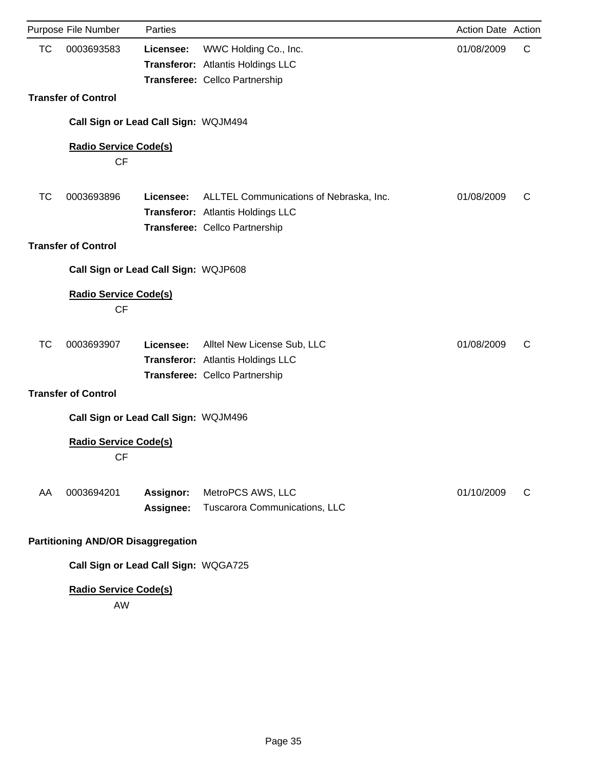|           | Purpose File Number                       | Parties                |                                                                                                                | Action Date Action |   |
|-----------|-------------------------------------------|------------------------|----------------------------------------------------------------------------------------------------------------|--------------------|---|
| <b>TC</b> | 0003693583                                | Licensee:              | WWC Holding Co., Inc.<br>Transferor: Atlantis Holdings LLC<br>Transferee: Cellco Partnership                   | 01/08/2009         | C |
|           | <b>Transfer of Control</b>                |                        |                                                                                                                |                    |   |
|           | Call Sign or Lead Call Sign: WQJM494      |                        |                                                                                                                |                    |   |
|           | <b>Radio Service Code(s)</b><br><b>CF</b> |                        |                                                                                                                |                    |   |
| TC        | 0003693896                                | Licensee:              | ALLTEL Communications of Nebraska, Inc.<br>Transferor: Atlantis Holdings LLC<br>Transferee: Cellco Partnership | 01/08/2009         | C |
|           | <b>Transfer of Control</b>                |                        |                                                                                                                |                    |   |
|           | Call Sign or Lead Call Sign: WQJP608      |                        |                                                                                                                |                    |   |
|           | <b>Radio Service Code(s)</b><br><b>CF</b> |                        |                                                                                                                |                    |   |
| TC        | 0003693907                                | Licensee:              | Alltel New License Sub, LLC<br>Transferor: Atlantis Holdings LLC<br>Transferee: Cellco Partnership             | 01/08/2009         | C |
|           | <b>Transfer of Control</b>                |                        |                                                                                                                |                    |   |
|           | Call Sign or Lead Call Sign: WQJM496      |                        |                                                                                                                |                    |   |
|           | <b>Radio Service Code(s)</b><br><b>CF</b> |                        |                                                                                                                |                    |   |
| AA        | 0003694201                                | Assignor:<br>Assignee: | MetroPCS AWS, LLC<br>Tuscarora Communications, LLC                                                             | 01/10/2009         | C |
|           | <b>Partitioning AND/OR Disaggregation</b> |                        |                                                                                                                |                    |   |
|           | Call Sign or Lead Call Sign: WQGA725      |                        |                                                                                                                |                    |   |

AW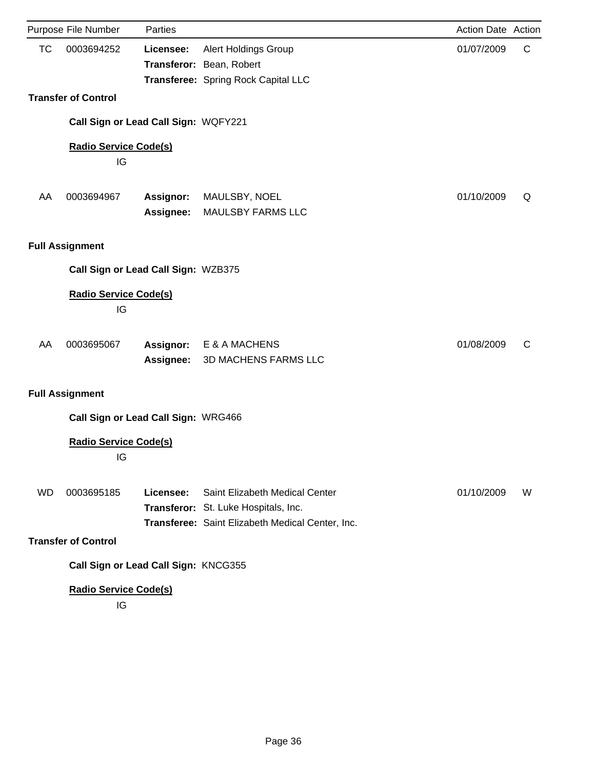|           | Purpose File Number                | Parties                              |                                                                                                                            | Action Date Action |   |
|-----------|------------------------------------|--------------------------------------|----------------------------------------------------------------------------------------------------------------------------|--------------------|---|
| <b>TC</b> | 0003694252                         | Licensee:                            | <b>Alert Holdings Group</b><br>Transferor: Bean, Robert<br>Transferee: Spring Rock Capital LLC                             | 01/07/2009         | C |
|           | <b>Transfer of Control</b>         |                                      |                                                                                                                            |                    |   |
|           |                                    | Call Sign or Lead Call Sign: WQFY221 |                                                                                                                            |                    |   |
|           | <b>Radio Service Code(s)</b><br>IG |                                      |                                                                                                                            |                    |   |
| AA        | 0003694967                         | <b>Assignor:</b><br>Assignee:        | MAULSBY, NOEL<br><b>MAULSBY FARMS LLC</b>                                                                                  | 01/10/2009         | Q |
|           | <b>Full Assignment</b>             |                                      |                                                                                                                            |                    |   |
|           |                                    | Call Sign or Lead Call Sign: WZB375  |                                                                                                                            |                    |   |
|           | <b>Radio Service Code(s)</b><br>IG |                                      |                                                                                                                            |                    |   |
| AA        | 0003695067                         | <b>Assignor:</b><br>Assignee:        | E & A MACHENS<br>3D MACHENS FARMS LLC                                                                                      | 01/08/2009         | C |
|           | <b>Full Assignment</b>             |                                      |                                                                                                                            |                    |   |
|           |                                    | Call Sign or Lead Call Sign: WRG466  |                                                                                                                            |                    |   |
|           | <b>Radio Service Code(s)</b><br>IG |                                      |                                                                                                                            |                    |   |
| <b>WD</b> | 0003695185                         | Licensee:                            | Saint Elizabeth Medical Center<br>Transferor: St. Luke Hospitals, Inc.<br>Transferee: Saint Elizabeth Medical Center, Inc. | 01/10/2009         | W |
|           | <b>Transfer of Control</b>         |                                      |                                                                                                                            |                    |   |
|           |                                    | Call Sign or Lead Call Sign: KNCG355 |                                                                                                                            |                    |   |
|           | <b>Radio Service Code(s)</b>       |                                      |                                                                                                                            |                    |   |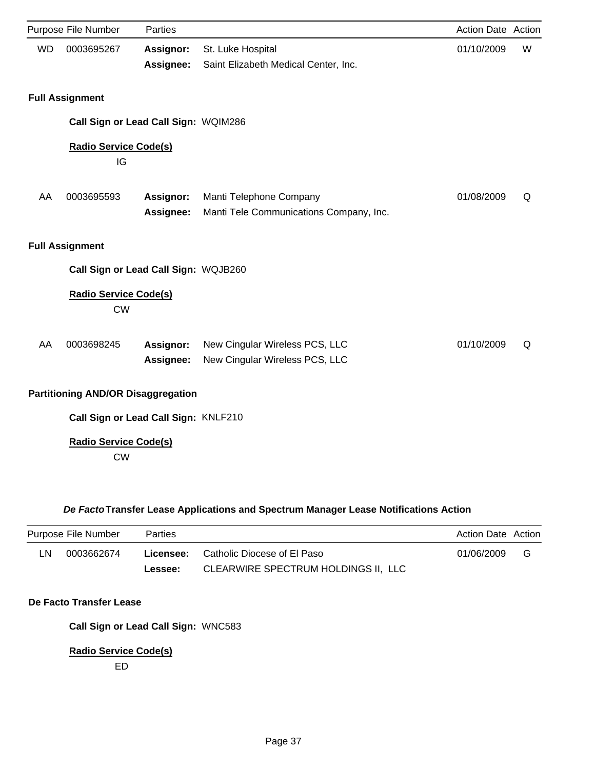|           | Purpose File Number                       | Parties                              |                                                                    | Action Date Action |   |
|-----------|-------------------------------------------|--------------------------------------|--------------------------------------------------------------------|--------------------|---|
| <b>WD</b> | 0003695267                                | Assignor:<br>Assignee:               | St. Luke Hospital<br>Saint Elizabeth Medical Center, Inc.          | 01/10/2009         | W |
|           | <b>Full Assignment</b>                    |                                      |                                                                    |                    |   |
|           |                                           | Call Sign or Lead Call Sign: WQIM286 |                                                                    |                    |   |
|           | <b>Radio Service Code(s)</b><br>IG        |                                      |                                                                    |                    |   |
| AA        | 0003695593                                | Assignor:<br>Assignee:               | Manti Telephone Company<br>Manti Tele Communications Company, Inc. | 01/08/2009         | Q |
|           | <b>Full Assignment</b>                    |                                      |                                                                    |                    |   |
|           |                                           | Call Sign or Lead Call Sign: WQJB260 |                                                                    |                    |   |
|           | <b>Radio Service Code(s)</b><br><b>CW</b> |                                      |                                                                    |                    |   |
| AA        | 0003698245                                | Assignor:<br>Assignee:               | New Cingular Wireless PCS, LLC<br>New Cingular Wireless PCS, LLC   | 01/10/2009         | Q |
|           | <b>Partitioning AND/OR Disaggregation</b> |                                      |                                                                    |                    |   |
|           |                                           | Call Sign or Lead Call Sign: KNLF210 |                                                                    |                    |   |
|           | <b>Radio Service Code(s)</b><br><b>CW</b> |                                      |                                                                    |                    |   |

# *De Facto***Transfer Lease Applications and Spectrum Manager Lease Notifications Action**

|    | Purpose File Number | <b>Parties</b> |                                              | Action Date Action |   |
|----|---------------------|----------------|----------------------------------------------|--------------------|---|
| LN | 0003662674          |                | <b>Licensee:</b> Catholic Diocese of El Paso | 01/06/2009         | G |
|    |                     | Lessee:        | CLEARWIRE SPECTRUM HOLDINGS II, LLC          |                    |   |

### **De Facto Transfer Lease**

**Call Sign or Lead Call Sign:** WNC583

# **Radio Service Code(s)**

ED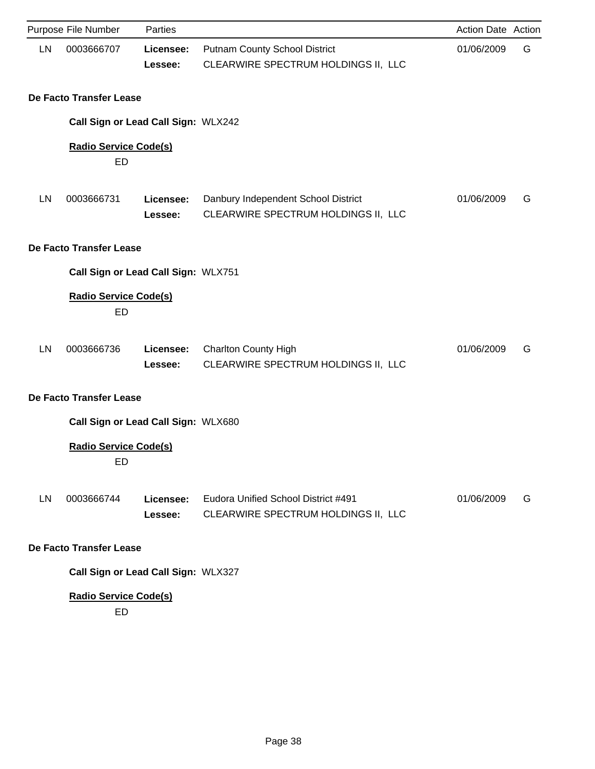|    | Purpose File Number                 | Parties              |                                                                             | Action Date Action |   |
|----|-------------------------------------|----------------------|-----------------------------------------------------------------------------|--------------------|---|
| LN | 0003666707                          | Licensee:<br>Lessee: | <b>Putnam County School District</b><br>CLEARWIRE SPECTRUM HOLDINGS II, LLC | 01/06/2009         | G |
|    | De Facto Transfer Lease             |                      |                                                                             |                    |   |
|    | Call Sign or Lead Call Sign: WLX242 |                      |                                                                             |                    |   |
|    | <b>Radio Service Code(s)</b><br>ED  |                      |                                                                             |                    |   |
| LN | 0003666731                          | Licensee:<br>Lessee: | Danbury Independent School District<br>CLEARWIRE SPECTRUM HOLDINGS II, LLC  | 01/06/2009         | G |
|    | De Facto Transfer Lease             |                      |                                                                             |                    |   |
|    | Call Sign or Lead Call Sign: WLX751 |                      |                                                                             |                    |   |
|    | <b>Radio Service Code(s)</b><br>ED  |                      |                                                                             |                    |   |
| LN | 0003666736                          | Licensee:<br>Lessee: | <b>Charlton County High</b><br>CLEARWIRE SPECTRUM HOLDINGS II, LLC          | 01/06/2009         | G |
|    | De Facto Transfer Lease             |                      |                                                                             |                    |   |
|    | Call Sign or Lead Call Sign: WLX680 |                      |                                                                             |                    |   |
|    | <b>Radio Service Code(s)</b><br>ED  |                      |                                                                             |                    |   |
| LN | 0003666744                          | Licensee:<br>Lessee: | Eudora Unified School District #491<br>CLEARWIRE SPECTRUM HOLDINGS II, LLC  | 01/06/2009         | G |
|    | De Facto Transfer Lease             |                      |                                                                             |                    |   |
|    | Call Sign or Lead Call Sign: WLX327 |                      |                                                                             |                    |   |
|    | <b>Radio Service Code(s)</b>        |                      |                                                                             |                    |   |
|    | ED                                  |                      |                                                                             |                    |   |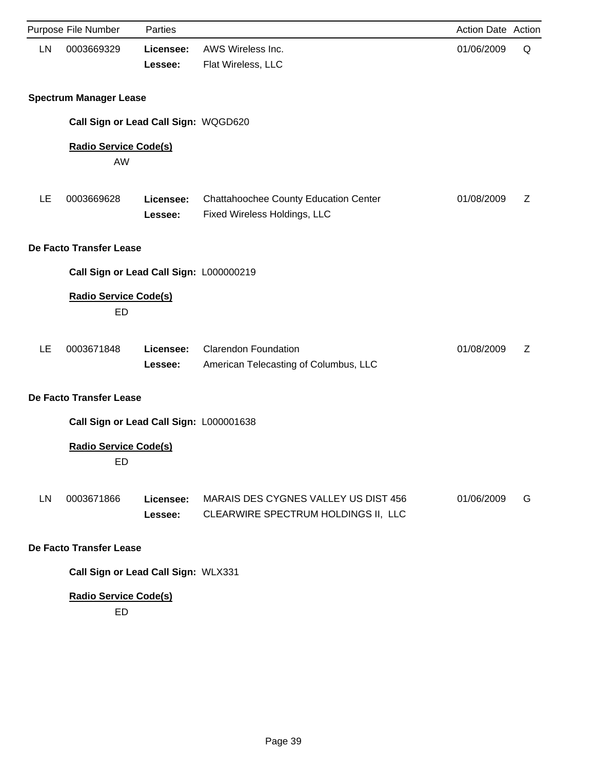|    | Purpose File Number                       | Parties              |                                                                             | Action Date Action |   |
|----|-------------------------------------------|----------------------|-----------------------------------------------------------------------------|--------------------|---|
| LN | 0003669329                                | Licensee:<br>Lessee: | AWS Wireless Inc.<br>Flat Wireless, LLC                                     | 01/06/2009         | Q |
|    | <b>Spectrum Manager Lease</b>             |                      |                                                                             |                    |   |
|    | Call Sign or Lead Call Sign: WQGD620      |                      |                                                                             |                    |   |
|    | <b>Radio Service Code(s)</b><br>AW        |                      |                                                                             |                    |   |
| LE | 0003669628                                | Licensee:<br>Lessee: | Chattahoochee County Education Center<br>Fixed Wireless Holdings, LLC       | 01/08/2009         | Ζ |
|    | <b>De Facto Transfer Lease</b>            |                      |                                                                             |                    |   |
|    | Call Sign or Lead Call Sign: L000000219   |                      |                                                                             |                    |   |
|    | <b>Radio Service Code(s)</b><br>ED        |                      |                                                                             |                    |   |
| LE | 0003671848                                | Licensee:<br>Lessee: | <b>Clarendon Foundation</b><br>American Telecasting of Columbus, LLC        | 01/08/2009         | Ζ |
|    | <b>De Facto Transfer Lease</b>            |                      |                                                                             |                    |   |
|    | Call Sign or Lead Call Sign: L000001638   |                      |                                                                             |                    |   |
|    | <b>Radio Service Code(s)</b><br>ED        |                      |                                                                             |                    |   |
| LN | 0003671866                                | Licensee:<br>Lessee: | MARAIS DES CYGNES VALLEY US DIST 456<br>CLEARWIRE SPECTRUM HOLDINGS II, LLC | 01/06/2009         | G |
|    | De Facto Transfer Lease                   |                      |                                                                             |                    |   |
|    | Call Sign or Lead Call Sign: WLX331       |                      |                                                                             |                    |   |
|    | <b>Radio Service Code(s)</b><br><b>ED</b> |                      |                                                                             |                    |   |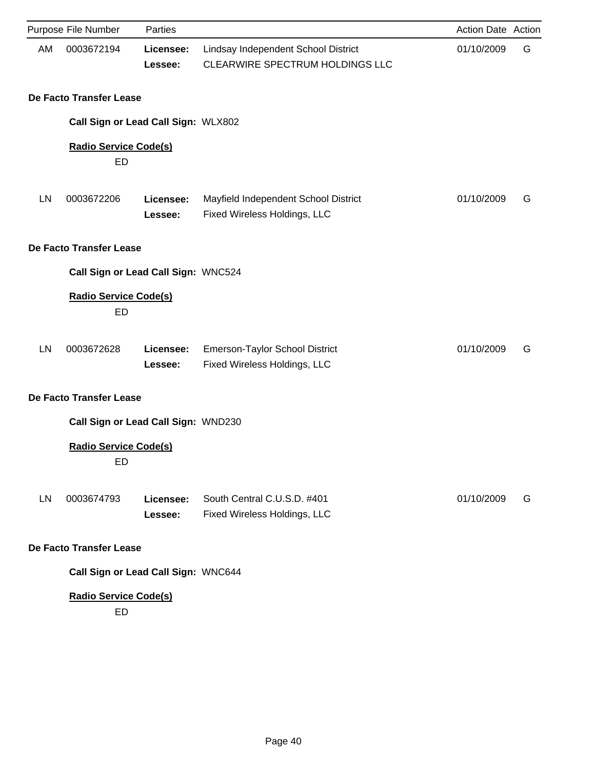|    | Purpose File Number                 | Parties              |                                                                        | Action Date Action |   |
|----|-------------------------------------|----------------------|------------------------------------------------------------------------|--------------------|---|
| AM | 0003672194                          | Licensee:<br>Lessee: | Lindsay Independent School District<br>CLEARWIRE SPECTRUM HOLDINGS LLC | 01/10/2009         | G |
|    | De Facto Transfer Lease             |                      |                                                                        |                    |   |
|    | Call Sign or Lead Call Sign: WLX802 |                      |                                                                        |                    |   |
|    | <b>Radio Service Code(s)</b><br>ED  |                      |                                                                        |                    |   |
| LN | 0003672206                          | Licensee:<br>Lessee: | Mayfield Independent School District<br>Fixed Wireless Holdings, LLC   | 01/10/2009         | G |
|    | De Facto Transfer Lease             |                      |                                                                        |                    |   |
|    | Call Sign or Lead Call Sign: WNC524 |                      |                                                                        |                    |   |
|    | <b>Radio Service Code(s)</b><br>ED  |                      |                                                                        |                    |   |
| LN | 0003672628                          | Licensee:<br>Lessee: | Emerson-Taylor School District<br>Fixed Wireless Holdings, LLC         | 01/10/2009         | G |
|    | De Facto Transfer Lease             |                      |                                                                        |                    |   |
|    | Call Sign or Lead Call Sign: WND230 |                      |                                                                        |                    |   |
|    | <b>Radio Service Code(s)</b><br>ED  |                      |                                                                        |                    |   |
| LN | 0003674793                          | Licensee:<br>Lessee: | South Central C.U.S.D. #401<br>Fixed Wireless Holdings, LLC            | 01/10/2009         | G |
|    | De Facto Transfer Lease             |                      |                                                                        |                    |   |
|    | Call Sign or Lead Call Sign: WNC644 |                      |                                                                        |                    |   |
|    | <b>Radio Service Code(s)</b><br>ED  |                      |                                                                        |                    |   |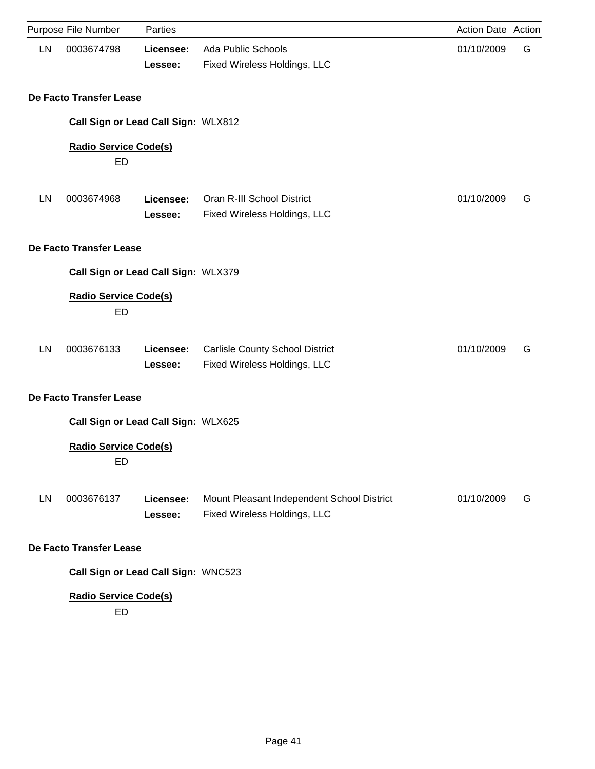|                              | Purpose File Number                 | Parties              |                                                                            | Action Date Action |   |
|------------------------------|-------------------------------------|----------------------|----------------------------------------------------------------------------|--------------------|---|
| LN                           | 0003674798                          | Licensee:            | <b>Ada Public Schools</b>                                                  | 01/10/2009         | G |
|                              |                                     | Lessee:              | Fixed Wireless Holdings, LLC                                               |                    |   |
|                              | De Facto Transfer Lease             |                      |                                                                            |                    |   |
|                              |                                     |                      |                                                                            |                    |   |
|                              | Call Sign or Lead Call Sign: WLX812 |                      |                                                                            |                    |   |
|                              | <b>Radio Service Code(s)</b>        |                      |                                                                            |                    |   |
|                              | ED                                  |                      |                                                                            |                    |   |
|                              |                                     |                      | Oran R-III School District                                                 |                    |   |
| LN                           | 0003674968                          | Licensee:<br>Lessee: | Fixed Wireless Holdings, LLC                                               | 01/10/2009         | G |
|                              |                                     |                      |                                                                            |                    |   |
|                              | <b>De Facto Transfer Lease</b>      |                      |                                                                            |                    |   |
|                              | Call Sign or Lead Call Sign: WLX379 |                      |                                                                            |                    |   |
| <b>Radio Service Code(s)</b> |                                     |                      |                                                                            |                    |   |
|                              | ED                                  |                      |                                                                            |                    |   |
|                              |                                     |                      |                                                                            |                    |   |
| LN                           | 0003676133                          | Licensee:            | <b>Carlisle County School District</b>                                     | 01/10/2009         | G |
|                              |                                     | Lessee:              | Fixed Wireless Holdings, LLC                                               |                    |   |
|                              | De Facto Transfer Lease             |                      |                                                                            |                    |   |
|                              |                                     |                      |                                                                            |                    |   |
|                              | Call Sign or Lead Call Sign: WLX625 |                      |                                                                            |                    |   |
|                              | <b>Radio Service Code(s)</b>        |                      |                                                                            |                    |   |
|                              | ED                                  |                      |                                                                            |                    |   |
| LN                           | 0003676137                          | Licensee:            |                                                                            | 01/10/2009         | G |
|                              |                                     | Lessee:              | Mount Pleasant Independent School District<br>Fixed Wireless Holdings, LLC |                    |   |
|                              |                                     |                      |                                                                            |                    |   |
|                              | De Facto Transfer Lease             |                      |                                                                            |                    |   |
|                              | Call Sign or Lead Call Sign: WNC523 |                      |                                                                            |                    |   |
|                              | <b>Radio Service Code(s)</b>        |                      |                                                                            |                    |   |
|                              |                                     |                      |                                                                            |                    |   |

ED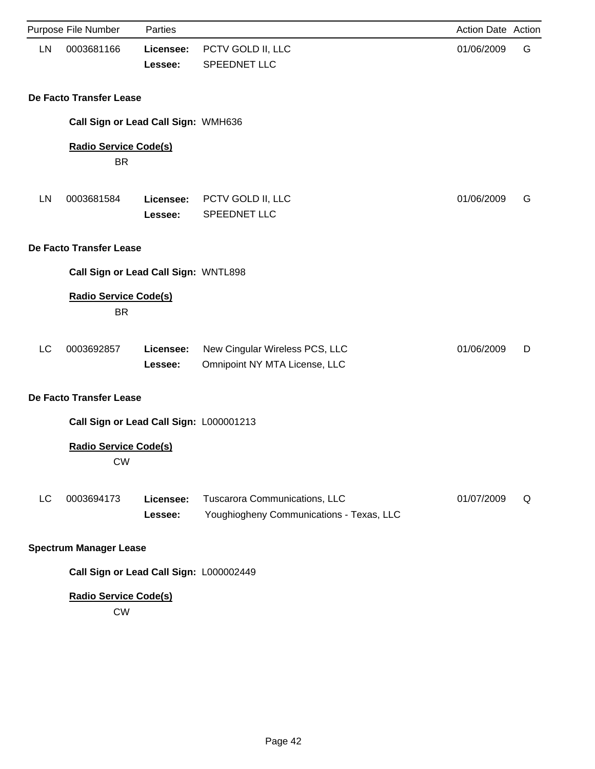|    | Purpose File Number                       | Parties              |                                                                           | Action Date Action |   |
|----|-------------------------------------------|----------------------|---------------------------------------------------------------------------|--------------------|---|
| LN | 0003681166                                | Licensee:<br>Lessee: | PCTV GOLD II, LLC<br>SPEEDNET LLC                                         | 01/06/2009         | G |
|    | De Facto Transfer Lease                   |                      |                                                                           |                    |   |
|    | Call Sign or Lead Call Sign: WMH636       |                      |                                                                           |                    |   |
|    | <b>Radio Service Code(s)</b><br><b>BR</b> |                      |                                                                           |                    |   |
| LN | 0003681584                                | Licensee:<br>Lessee: | PCTV GOLD II, LLC<br>SPEEDNET LLC                                         | 01/06/2009         | G |
|    | De Facto Transfer Lease                   |                      |                                                                           |                    |   |
|    | Call Sign or Lead Call Sign: WNTL898      |                      |                                                                           |                    |   |
|    | <b>Radio Service Code(s)</b><br><b>BR</b> |                      |                                                                           |                    |   |
| LC | 0003692857                                | Licensee:<br>Lessee: | New Cingular Wireless PCS, LLC<br>Omnipoint NY MTA License, LLC           | 01/06/2009         | D |
|    | De Facto Transfer Lease                   |                      |                                                                           |                    |   |
|    | Call Sign or Lead Call Sign: L000001213   |                      |                                                                           |                    |   |
|    | <b>Radio Service Code(s)</b><br><b>CW</b> |                      |                                                                           |                    |   |
| LC | 0003694173                                | Licensee:<br>Lessee: | Tuscarora Communications, LLC<br>Youghiogheny Communications - Texas, LLC | 01/07/2009         | Q |
|    | <b>Spectrum Manager Lease</b>             |                      |                                                                           |                    |   |
|    | Call Sign or Lead Call Sign: L000002449   |                      |                                                                           |                    |   |
|    | <b>Radio Service Code(s)</b><br><b>CW</b> |                      |                                                                           |                    |   |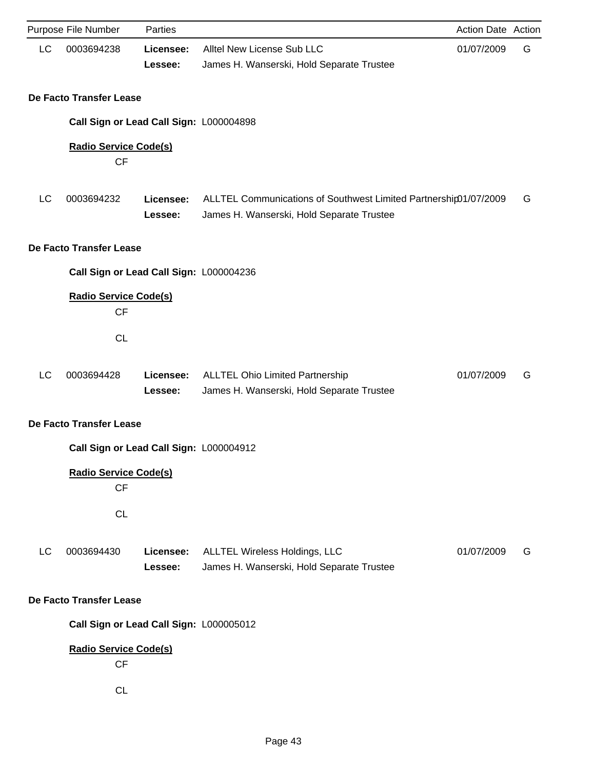|    | Purpose File Number                                    | Parties              |                                                                                                               | Action Date Action |   |
|----|--------------------------------------------------------|----------------------|---------------------------------------------------------------------------------------------------------------|--------------------|---|
| LC | 0003694238                                             | Licensee:<br>Lessee: | Alltel New License Sub LLC<br>James H. Wanserski, Hold Separate Trustee                                       | 01/07/2009         | G |
|    | De Facto Transfer Lease                                |                      |                                                                                                               |                    |   |
|    | Call Sign or Lead Call Sign: L000004898                |                      |                                                                                                               |                    |   |
|    | <b>Radio Service Code(s)</b><br>CF                     |                      |                                                                                                               |                    |   |
| LC | 0003694232                                             | Licensee:<br>Lessee: | ALLTEL Communications of Southwest Limited Partnership01/07/2009<br>James H. Wanserski, Hold Separate Trustee |                    | G |
|    | De Facto Transfer Lease                                |                      |                                                                                                               |                    |   |
|    | Call Sign or Lead Call Sign: L000004236                |                      |                                                                                                               |                    |   |
|    | <b>Radio Service Code(s)</b><br><b>CF</b>              |                      |                                                                                                               |                    |   |
|    | <b>CL</b>                                              |                      |                                                                                                               |                    |   |
| LC | 0003694428                                             | Licensee:<br>Lessee: | <b>ALLTEL Ohio Limited Partnership</b><br>James H. Wanserski, Hold Separate Trustee                           | 01/07/2009         | G |
|    | De Facto Transfer Lease                                |                      |                                                                                                               |                    |   |
|    | Call Sign or Lead Call Sign: L000004912                |                      |                                                                                                               |                    |   |
|    | <b>Radio Service Code(s)</b><br><b>CF</b><br><b>CL</b> |                      |                                                                                                               |                    |   |
| LC | 0003694430                                             | Licensee:<br>Lessee: | ALLTEL Wireless Holdings, LLC<br>James H. Wanserski, Hold Separate Trustee                                    | 01/07/2009         | G |
|    | <b>De Facto Transfer Lease</b>                         |                      |                                                                                                               |                    |   |
|    | Call Sign or Lead Call Sign: L000005012                |                      |                                                                                                               |                    |   |
|    | <b>Radio Service Code(s)</b><br>CF                     |                      |                                                                                                               |                    |   |
|    | <b>CL</b>                                              |                      |                                                                                                               |                    |   |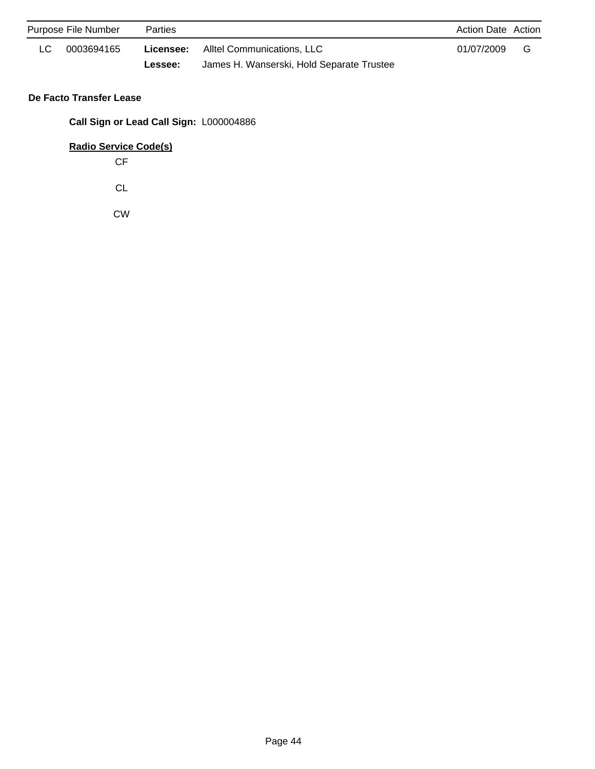| Purpose File Number | Parties   |                                           | <b>Action Date Action</b> |   |
|---------------------|-----------|-------------------------------------------|---------------------------|---|
| 0003694165          | Licensee: | Alltel Communications, LLC                | 01/07/2009                | G |
|                     | Lessee:   | James H. Wanserski, Hold Separate Trustee |                           |   |

### **De Facto Transfer Lease**

**Call Sign or Lead Call Sign:** L000004886

**Radio Service Code(s)**

CF

CL

CW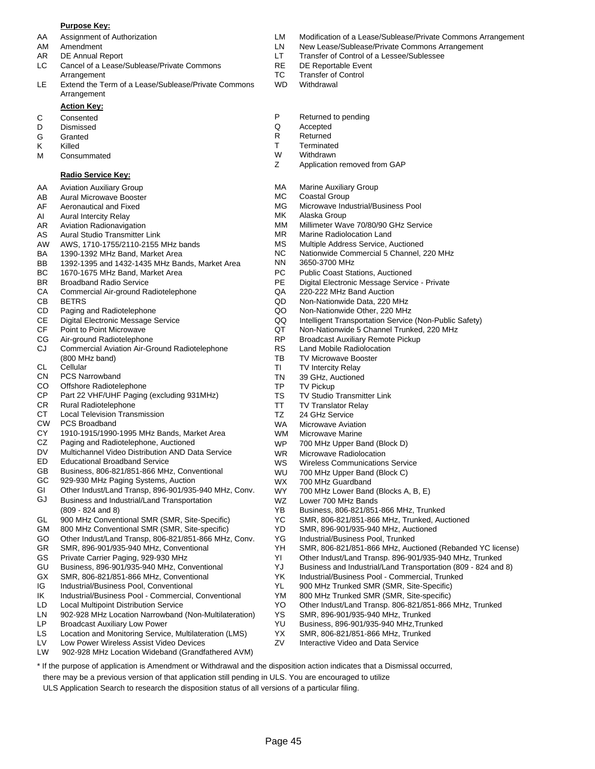#### **Purpose Key:**

- 
- 
- 
- LC Cancel of a Lease/Sublease/Private Commons RE DE Reportable Event Arrangement TC Transfer of Control
- LE Extend the Term of a Lease/Sublease/Private Commons WD Withdrawal Arrangement

### **Action Key:**

- 
- D Dismissed Q Accepted
- G Granted **R** Returned
- 
- M Consummated M W Withdrawn<br>
Z Application

### **Radio Service Key:**

- AA Aviation Auxiliary Group
- AB Aural Microwave Booster
- AF Aeronautical and Fixed
- AI Aural Intercity Relay
- AR Aviation Radionavigation
- AS Aural Studio Transmitter Link
- AW AWS, 1710-1755/2110-2155 MHz bands
- BA 1390-1392 MHz Band, Market Area
- BB 1392-1395 and 1432-1435 MHz Bands, Market Area
- BC 1670-1675 MHz Band, Market Area
- BR Broadband Radio Service
- CA Commercial Air-ground Radiotelephone
- CB BETRS
- CD Paging and Radiotelephone
- CE Digital Electronic Message Service
- CF Point to Point Microwave
- CG Air-ground Radiotelephone
- CJ Commercial Aviation Air-Ground Radiotelephone (800 MHz band)
- CL **Cellular**
- CN PCS Narrowband
- CO Offshore Radiotelephone
- CP Part 22 VHF/UHF Paging (excluding 931MHz)
- CR Rural Radiotelephone
- CT Local Television Transmission
- CW PCS Broadband
- CY 1910-1915/1990-1995 MHz Bands, Market Area
- CZ Paging and Radiotelephone, Auctioned
- DV Multichannel Video Distribution AND Data Service
- ED Educational Broadband Service
- GB Business, 806-821/851-866 MHz, Conventional
- GC 929-930 MHz Paging Systems, Auction
- GI Other Indust/Land Transp, 896-901/935-940 MHz, Conv.
- GJ Business and Industrial/Land Transportation (809 - 824 and 8)
- GL 900 MHz Conventional SMR (SMR, Site-Specific)
- GM 800 MHz Conventional SMR (SMR, Site-specific)
- 
- GO Other Indust/Land Transp, 806-821/851-866 MHz, Conv.
- GR SMR, 896-901/935-940 MHz, Conventional
- GS Private Carrier Paging, 929-930 MHz
- GU Business, 896-901/935-940 MHz, Conventional
- GX SMR, 806-821/851-866 MHz, Conventional
- IG Industrial/Business Pool, Conventional
- IK Industrial/Business Pool Commercial, Conventional LD Local Multipoint Distribution Service
- LN 902-928 MHz Location Narrowband (Non-Multilateration)
- LP Broadcast Auxiliary Low Power
- Location and Monitoring Service, Multilateration (LMS) LS
- Low Power Wireless Assist Video Devices LV
- LW 902-928 MHz Location Wideband (Grandfathered AVM)
- AA Assignment of Authorization LM Modification of a Lease/Sublease/Private Commons Arrangement
- AM Amendment LN New Lease/Sublease/Private Commons Arrangement
- AR DE Annual Report **LT** Transfer of Control of a Lessee/Sublessee
	-
	-
	-
- C Consented **C** Consented **P** Returned to pending **D** Dismissed **P** Returned to pending
	-
	-
- K Killed T Terminated
	-
	- Application removed from GAP
	- MA Marine Auxiliary Group
	- MC Coastal Group
	- MG Microwave Industrial/Business Pool
	- MK Alaska Group
	- MM Millimeter Wave 70/80/90 GHz Service
	- MR Marine Radiolocation Land
	- MS Multiple Address Service, Auctioned
	- NC Nationwide Commercial 5 Channel, 220 MHz
		- NN 3650-3700 MHz
		- PC Public Coast Stations, Auctioned
		- PE Digital Electronic Message Service Private
		- QA 220-222 MHz Band Auction
		- QD Non-Nationwide Data, 220 MHz
		- QO Non-Nationwide Other, 220 MHz
		- QQ Intelligent Transportation Service (Non-Public Safety)
		- QT Non-Nationwide 5 Channel Trunked, 220 MHz
		- RP Broadcast Auxiliary Remote Pickup
		- RS Land Mobile Radiolocation
		- TB TV Microwave Booster
		- TI TV Intercity Relay
		- TN 39 GHz, Auctioned
		- TP TV Pickup

WS WU

YD

Page 45

\* If the purpose of application is Amendment or Withdrawal and the disposition action indicates that a Dismissal occurred,

there may be a previous version of that application still pending in ULS. You are encouraged to utilize ULS Application Search to research the disposition status of all versions of a particular filing.

WZ WX WY

TS TV Studio Transmitter Link

WR Microwave Radiolocation

Lower 700 MHz Bands

700 MHz Guardband

YG Industrial/Business Pool, Trunked

YS SMR, 896-901/935-940 MHz, Trunked YU Business, 896-901/935-940 MHz,Trunked YX SMR, 806-821/851-866 MHz, Trunked ZV Interactive Video and Data Service

Wireless Communications Service 700 MHz Upper Band (Block C)

YB Business, 806-821/851-866 MHz, Trunked YC SMR, 806-821/851-866 MHz, Trunked, Auctioned SMR, 896-901/935-940 MHz, Auctioned

700 MHz Lower Band (Blocks A, B, E)

YK Industrial/Business Pool - Commercial, Trunked YL 900 MHz Trunked SMR (SMR, Site-Specific) YM 800 MHz Trunked SMR (SMR, Site-specific)

YH SMR, 806-821/851-866 MHz, Auctioned (Rebanded YC license) YI Other Indust/Land Transp. 896-901/935-940 MHz, Trunked YJ Business and Industrial/Land Transportation (809 - 824 and 8)

YO Other Indust/Land Transp. 806-821/851-866 MHz, Trunked

- TT TV Translator Relay
- TZ 24 GHz Service
- WA Microwave Aviation
- WM WP Microwave Marine 700 MHz Upper Band (Block D)